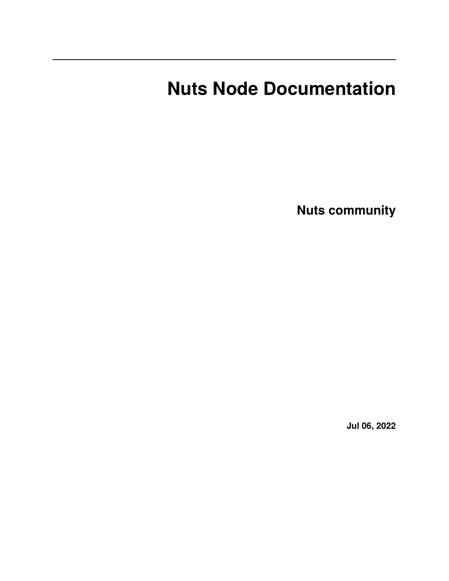# **Nuts Node Documentation**

**Nuts community**

**Jul 06, 2022**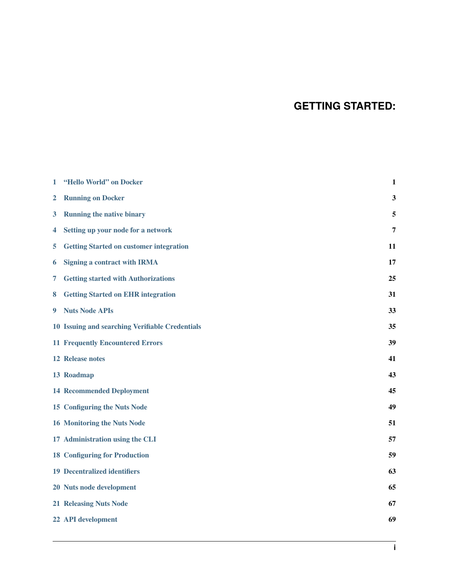# **GETTING STARTED:**

| 1 | "Hello World" on Docker                         | $\mathbf{1}$ |
|---|-------------------------------------------------|--------------|
| 2 | <b>Running on Docker</b>                        | 3            |
| 3 | <b>Running the native binary</b>                | 5            |
| 4 | Setting up your node for a network              | 7            |
| 5 | <b>Getting Started on customer integration</b>  | 11           |
| 6 | <b>Signing a contract with IRMA</b>             | 17           |
| 7 | <b>Getting started with Authorizations</b>      | 25           |
| 8 | <b>Getting Started on EHR integration</b>       | 31           |
| 9 | <b>Nuts Node APIs</b>                           | 33           |
|   | 10 Issuing and searching Verifiable Credentials | 35           |
|   | <b>11 Frequently Encountered Errors</b>         | 39           |
|   | <b>12 Release notes</b>                         | 41           |
|   | 13 Roadmap                                      | 43           |
|   | <b>14 Recommended Deployment</b>                | 45           |
|   | 15 Configuring the Nuts Node                    | 49           |
|   | <b>16 Monitoring the Nuts Node</b>              | 51           |
|   | 17 Administration using the CLI                 | 57           |
|   | <b>18 Configuring for Production</b>            | 59           |
|   | <b>19 Decentralized identifiers</b>             | 63           |
|   | 20 Nuts node development                        | 65           |
|   | <b>21 Releasing Nuts Node</b>                   | 67           |
|   | 22 API development                              | 69           |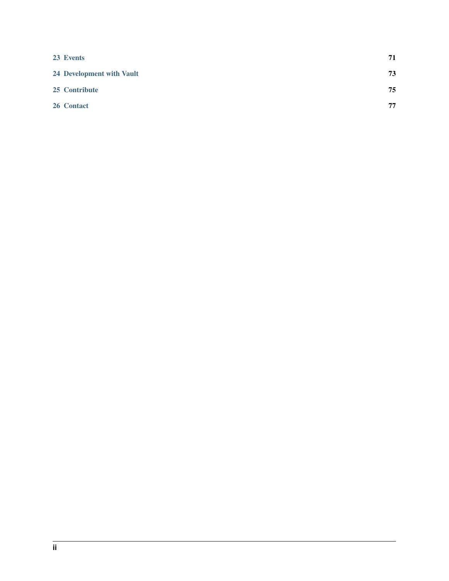| 23 Events                 | 71 |
|---------------------------|----|
| 24 Development with Vault | 73 |
| 25 Contribute             | 75 |
| 26 Contact                | 77 |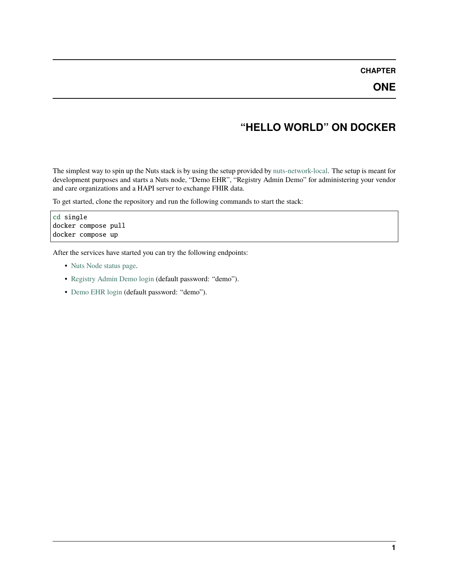#### **CHAPTER**

### **ONE**

### **"HELLO WORLD" ON DOCKER**

<span id="page-4-0"></span>The simplest way to spin up the Nuts stack is by using the setup provided by [nuts-network-local.](https://github.com/nuts-foundation/nuts-network-local) The setup is meant for development purposes and starts a Nuts node, "Demo EHR", "Registry Admin Demo" for administering your vendor and care organizations and a HAPI server to exchange FHIR data.

To get started, clone the repository and run the following commands to start the stack:

cd single docker compose pull docker compose up

After the services have started you can try the following endpoints:

- [Nuts Node status page.](http://localhost:1323/status/diagnostics)
- [Registry Admin Demo login](http://localhost:1303/) (default password: "demo").
- [Demo EHR login](http://localhost:1304/) (default password: "demo").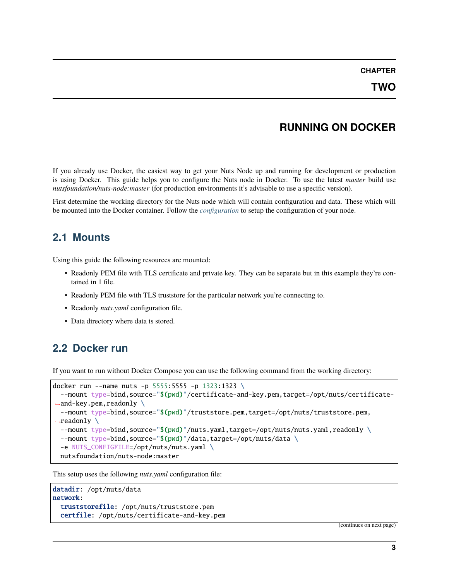### **RUNNING ON DOCKER**

<span id="page-6-0"></span>If you already use Docker, the easiest way to get your Nuts Node up and running for development or production is using Docker. This guide helps you to configure the Nuts node in Docker. To use the latest *master* build use *nutsfoundation/nuts-node:master* (for production environments it's advisable to use a specific version).

First determine the working directory for the Nuts node which will contain configuration and data. These which will be mounted into the Docker container. Follow the *[configuration](#page-10-0)* to setup the configuration of your node.

### **2.1 Mounts**

Using this guide the following resources are mounted:

- Readonly PEM file with TLS certificate and private key. They can be separate but in this example they're contained in 1 file.
- Readonly PEM file with TLS truststore for the particular network you're connecting to.
- Readonly *nuts.yaml* configuration file.
- Data directory where data is stored.

### **2.2 Docker run**

If you want to run without Docker Compose you can use the following command from the working directory:

```
docker run --name nuts -p 5555:5555 -p 1323:1323 \
  --mount type=bind,source="$(pwd)"/certificate-and-key.pem,target=/opt/nuts/certificate-
\rightarrowand-key.pem,readonly \
  --mount type=bind,source="$(pwd)"/truststore.pem,target=/opt/nuts/truststore.pem,
\rightarrowreadonly \
  --mount type=bind,source="$(pwd)"/nuts.yaml,target=/opt/nuts/nuts.yaml,readonly \
  --mount type=bind,source="$(pwd)"/data,target=/opt/nuts/data \
  -e NUTS_CONFIGFILE=/opt/nuts/nuts.yaml \
 nutsfoundation/nuts-node:master
```
This setup uses the following *nuts.yaml* configuration file:

```
datadir: /opt/nuts/data
network:
  truststorefile: /opt/nuts/truststore.pem
  certfile: /opt/nuts/certificate-and-key.pem
```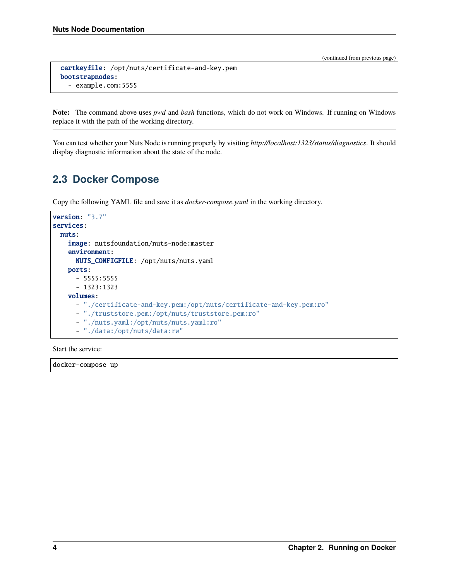```
certkeyfile: /opt/nuts/certificate-and-key.pem
bootstrapnodes:
  - example.com:5555
```
**Note:** The command above uses *pwd* and *bash* functions, which do not work on Windows. If running on Windows replace it with the path of the working directory.

You can test whether your Nuts Node is running properly by visiting *http://localhost:1323/status/diagnostics*. It should display diagnostic information about the state of the node.

### **2.3 Docker Compose**

Copy the following YAML file and save it as *docker-compose.yaml* in the working directory.

```
version: "3.7"
services:
 nuts:
   image: nutsfoundation/nuts-node:master
   environment:
     NUTS_CONFIGFILE: /opt/nuts/nuts.yaml
   ports:
      -5555:5555- 1323:1323
   volumes:
     - "./certificate-and-key.pem:/opt/nuts/certificate-and-key.pem:ro"
     - "./truststore.pem:/opt/nuts/truststore.pem:ro"
      - "./nuts.yaml:/opt/nuts/nuts.yaml:ro"
      - "./data:/opt/nuts/data:rw"
```
Start the service:

docker-compose up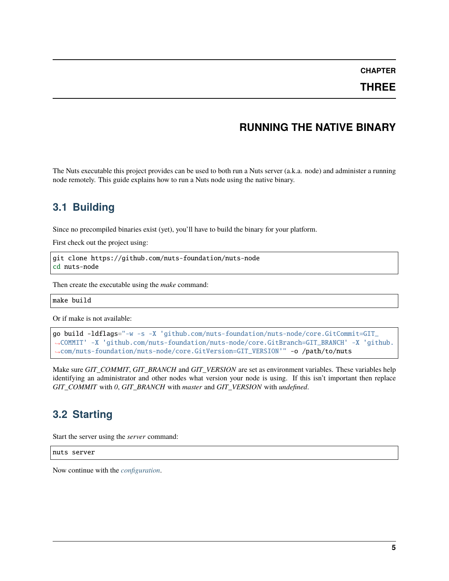#### **CHAPTER**

### **THREE**

# **RUNNING THE NATIVE BINARY**

<span id="page-8-0"></span>The Nuts executable this project provides can be used to both run a Nuts server (a.k.a. node) and administer a running node remotely. This guide explains how to run a Nuts node using the native binary.

### **3.1 Building**

Since no precompiled binaries exist (yet), you'll have to build the binary for your platform.

First check out the project using:

git clone https://github.com/nuts-foundation/nuts-node cd nuts-node

Then create the executable using the *make* command:

make build

Or if make is not available:

```
go build -ldflags="-w -s -X 'github.com/nuts-foundation/nuts-node/core.GitCommit=GIT_
˓→COMMIT' -X 'github.com/nuts-foundation/nuts-node/core.GitBranch=GIT_BRANCH' -X 'github.
˓→com/nuts-foundation/nuts-node/core.GitVersion=GIT_VERSION'" -o /path/to/nuts
```
Make sure *GIT\_COMMIT*, *GIT\_BRANCH* and *GIT\_VERSION* are set as environment variables. These variables help identifying an administrator and other nodes what version your node is using. If this isn't important then replace *GIT\_COMMIT* with *0*, *GIT\_BRANCH* with *master* and *GIT\_VERSION* with *undefined*.

### **3.2 Starting**

Start the server using the *server* command:

nuts server

Now continue with the *[configuration](#page-10-0)*.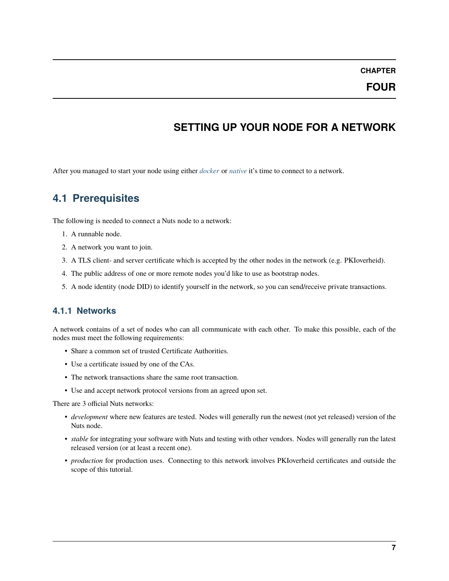#### **CHAPTER**

### **FOUR**

# **SETTING UP YOUR NODE FOR A NETWORK**

<span id="page-10-0"></span>After you managed to start your node using either *[docker](#page-6-0)* or *[native](#page-8-0)* it's time to connect to a network.

# **4.1 Prerequisites**

The following is needed to connect a Nuts node to a network:

- 1. A runnable node.
- 2. A network you want to join.
- 3. A TLS client- and server certificate which is accepted by the other nodes in the network (e.g. PKIoverheid).
- 4. The public address of one or more remote nodes you'd like to use as bootstrap nodes.
- 5. A node identity (node DID) to identify yourself in the network, so you can send/receive private transactions.

### **4.1.1 Networks**

A network contains of a set of nodes who can all communicate with each other. To make this possible, each of the nodes must meet the following requirements:

- Share a common set of trusted Certificate Authorities.
- Use a certificate issued by one of the CAs.
- The network transactions share the same root transaction.
- Use and accept network protocol versions from an agreed upon set.

There are 3 official Nuts networks:

- *development* where new features are tested. Nodes will generally run the newest (not yet released) version of the Nuts node.
- *stable* for integrating your software with Nuts and testing with other vendors. Nodes will generally run the latest released version (or at least a recent one).
- *production* for production uses. Connecting to this network involves PKIoverheid certificates and outside the scope of this tutorial.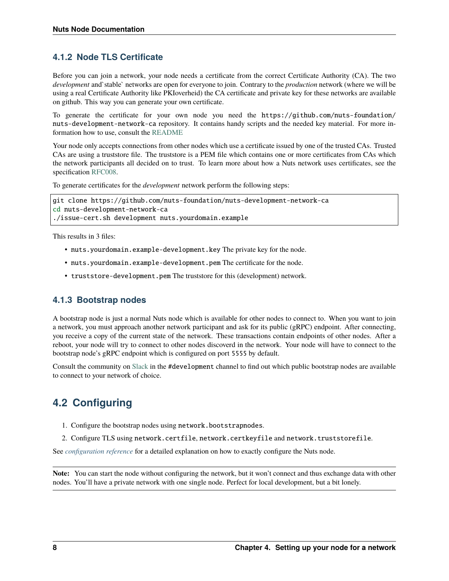### **4.1.2 Node TLS Certificate**

Before you can join a network, your node needs a certificate from the correct Certificate Authority (CA). The two *development* and`stable` networks are open for everyone to join. Contrary to the *production* network (where we will be using a real Certificate Authority like PKIoverheid) the CA certificate and private key for these networks are available on github. This way you can generate your own certificate.

To generate the certificate for your own node you need the https://github.com/nuts-foundation/ nuts-development-network-ca repository. It contains handy scripts and the needed key material. For more information how to use, consult the [README](https://github.com/nuts-foundation/nuts-development-network-ca/blob/master/README.md)

Your node only accepts connections from other nodes which use a certificate issued by one of the trusted CAs. Trusted CAs are using a truststore file. The truststore is a PEM file which contains one or more certificates from CAs which the network participants all decided on to trust. To learn more about how a Nuts network uses certificates, see the specification [RFC008.](https://nuts-foundation.gitbook.io/drafts/rfc/rfc008-certificate-structure)

To generate certificates for the *development* network perform the following steps:

```
git clone https://github.com/nuts-foundation/nuts-development-network-ca
cd nuts-development-network-ca
./issue-cert.sh development nuts.yourdomain.example
```
This results in 3 files:

- nuts.yourdomain.example-development.key The private key for the node.
- nuts.yourdomain.example-development.pem The certificate for the node.
- truststore-development.pem The truststore for this (development) network.

#### **4.1.3 Bootstrap nodes**

A bootstrap node is just a normal Nuts node which is available for other nodes to connect to. When you want to join a network, you must approach another network participant and ask for its public (gRPC) endpoint. After connecting, you receive a copy of the current state of the network. These transactions contain endpoints of other nodes. After a reboot, your node will try to connect to other nodes discoverd in the network. Your node will have to connect to the bootstrap node's gRPC endpoint which is configured on port 5555 by default.

Consult the community on [Slack](https://nuts-foundation.slack.com/) in the #development channel to find out which public bootstrap nodes are available to connect to your network of choice.

# **4.2 Configuring**

- 1. Configure the bootstrap nodes using network.bootstrapnodes.
- 2. Configure TLS using network.certfile, network.certkeyfile and network.truststorefile.

See *[configuration reference](#page-52-0)* for a detailed explanation on how to exactly configure the Nuts node.

**Note:** You can start the node without configuring the network, but it won't connect and thus exchange data with other nodes. You'll have a private network with one single node. Perfect for local development, but a bit lonely.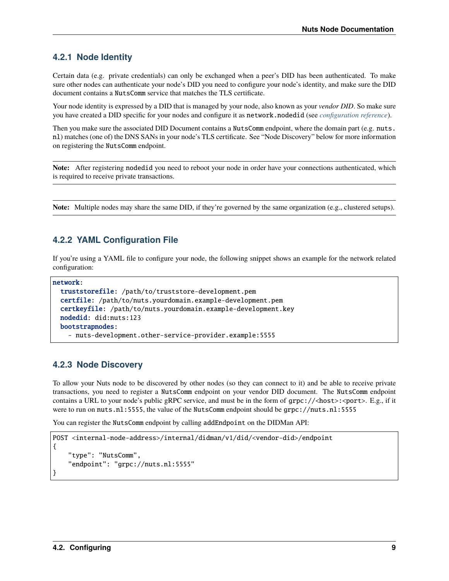### **4.2.1 Node Identity**

Certain data (e.g. private credentials) can only be exchanged when a peer's DID has been authenticated. To make sure other nodes can authenticate your node's DID you need to configure your node's identity, and make sure the DID document contains a NutsComm service that matches the TLS certificate.

Your node identity is expressed by a DID that is managed by your node, also known as your *vendor DID*. So make sure you have created a DID specific for your nodes and configure it as network.nodedid (see *[configuration reference](#page-52-0)*).

Then you make sure the associated DID Document contains a NutsComm endpoint, where the domain part (e.g. nuts. nl) matches (one of) the DNS SANs in your node's TLS certificate. See "Node Discovery" below for more information on registering the NutsComm endpoint.

**Note:** After registering nodedid you need to reboot your node in order have your connections authenticated, which is required to receive private transactions.

**Note:** Multiple nodes may share the same DID, if they're governed by the same organization (e.g., clustered setups).

### **4.2.2 YAML Configuration File**

If you're using a YAML file to configure your node, the following snippet shows an example for the network related configuration:

```
network:
  truststorefile: /path/to/truststore-development.pem
  certfile: /path/to/nuts.yourdomain.example-development.pem
  certkeyfile: /path/to/nuts.yourdomain.example-development.key
  nodedid: did:nuts:123
  bootstrapnodes:
    - nuts-development.other-service-provider.example:5555
```
#### **4.2.3 Node Discovery**

To allow your Nuts node to be discovered by other nodes (so they can connect to it) and be able to receive private transactions, you need to register a NutsComm endpoint on your vendor DID document. The NutsComm endpoint contains a URL to your node's public gRPC service, and must be in the form of  $qrpc://**host**>(**post**)$ . E.g., if it were to run on nuts.nl:5555, the value of the NutsComm endpoint should be grpc://nuts.nl:5555

You can register the NutsComm endpoint by calling addEndpoint on the DIDMan API:

```
POST <internal-node-address>/internal/didman/v1/did/<vendor-did>/endpoint
{
    "type": "NutsComm",
    "endpoint": "grpc://nuts.nl:5555"
}
```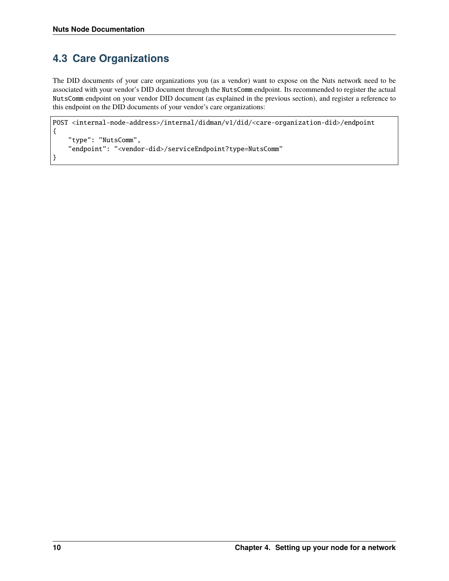# **4.3 Care Organizations**

The DID documents of your care organizations you (as a vendor) want to expose on the Nuts network need to be associated with your vendor's DID document through the NutsComm endpoint. Its recommended to register the actual NutsComm endpoint on your vendor DID document (as explained in the previous section), and register a reference to this endpoint on the DID documents of your vendor's care organizations:

```
POST <internal-node-address>/internal/didman/v1/did/<care-organization-did>/endpoint
{
    "type": "NutsComm",
    "endpoint": "<vendor-did>/serviceEndpoint?type=NutsComm"
}
```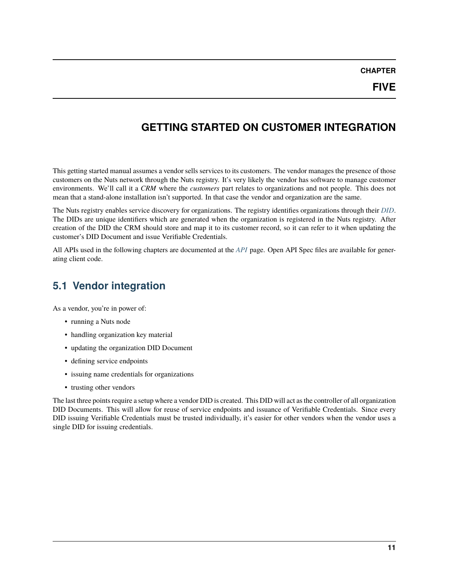**CHAPTER**

### <span id="page-14-0"></span>**GETTING STARTED ON CUSTOMER INTEGRATION**

This getting started manual assumes a vendor sells services to its customers. The vendor manages the presence of those customers on the Nuts network through the Nuts registry. It's very likely the vendor has software to manage customer environments. We'll call it a *CRM* where the *customers* part relates to organizations and not people. This does not mean that a stand-alone installation isn't supported. In that case the vendor and organization are the same.

The Nuts registry enables service discovery for organizations. The registry identifies organizations through their *[DID](#page-66-0)*. The DIDs are unique identifiers which are generated when the organization is registered in the Nuts registry. After creation of the DID the CRM should store and map it to its customer record, so it can refer to it when updating the customer's DID Document and issue Verifiable Credentials.

All APIs used in the following chapters are documented at the *[API](#page-36-0)* page. Open API Spec files are available for generating client code.

### **5.1 Vendor integration**

As a vendor, you're in power of:

- running a Nuts node
- handling organization key material
- updating the organization DID Document
- defining service endpoints
- issuing name credentials for organizations
- trusting other vendors

The last three points require a setup where a vendor DID is created. This DID will act as the controller of all organization DID Documents. This will allow for reuse of service endpoints and issuance of Verifiable Credentials. Since every DID issuing Verifiable Credentials must be trusted individually, it's easier for other vendors when the vendor uses a single DID for issuing credentials.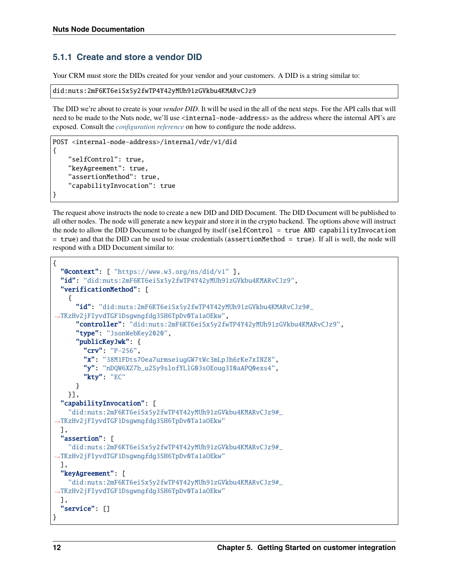#### **5.1.1 Create and store a vendor DID**

Your CRM must store the DIDs created for your vendor and your customers. A DID is a string similar to:

```
did:nuts:2mF6KT6eiSx5y2fwTP4Y42yMUh91zGVkbu4KMARvCJz9
```
The DID we're about to create is your *vendor DID*. It will be used in the all of the next steps. For the API calls that will need to be made to the Nuts node, we'll use <internal-node-address> as the address where the internal API's are exposed. Consult the *[configuration reference](#page-52-0)* on how to configure the node address.

```
POST <internal-node-address>/internal/vdr/v1/did
{
    "selfControl": true,
    "keyAgreement": true,
    "assertionMethod": true,
    "capabilityInvocation": true
}
```
The request above instructs the node to create a new DID and DID Document. The DID Document will be published to all other nodes. The node will generate a new keypair and store it in the crypto backend. The options above will instruct the node to allow the DID Document to be changed by itself (selfControl = true AND capabilityInvocation = true) and that the DID can be used to issue credentials (assertionMethod = true). If all is well, the node will respond with a DID Document similar to:

```
{
 "@context": [ "https://www.w3.org/ns/did/v1" ],
 "id": "did:nuts:2mF6KT6eiSx5y2fwTP4Y42yMUh91zGVkbu4KMARvCJz9",
 "verificationMethod": [
   {
      "id": "did:nuts:2mF6KT6eiSx5y2fwTP4Y42yMUh91zGVkbu4KMARvCJz9#_
˓→TKzHv2jFIyvdTGF1Dsgwngfdg3SH6TpDv0Ta1aOEkw",
      "controller": "did:nuts:2mF6KT6eiSx5y2fwTP4Y42yMUh91zGVkbu4KMARvCJz9",
      "type": "JsonWebKey2020",
      "publicKeyJwk": {
       "crv": "P-256",
        "x": "38M1FDts7Oea7urmseiugGW7tWc3mLpJh6rKe7xINZ8",
        "y": "nDQW6XZ7b_u2Sy9slofYLlG03sOEoug3I0aAPQ0exs4",
       "kty": "EC"
     }
   }],
 "capabilityInvocation": [
   "did:nuts:2mF6KT6eiSx5y2fwTP4Y42yMUh91zGVkbu4KMARvCJz9#_
˓→TKzHv2jFIyvdTGF1Dsgwngfdg3SH6TpDv0Ta1aOEkw"
 ],
 "assertion": [
   "did:nuts:2mF6KT6eiSx5y2fwTP4Y42yMUh91zGVkbu4KMARvCJz9#_
˓→TKzHv2jFIyvdTGF1Dsgwngfdg3SH6TpDv0Ta1aOEkw"
 ],
 "keyAgreement": [
   "did:nuts:2mF6KT6eiSx5y2fwTP4Y42yMUh91zGVkbu4KMARvCJz9#_
˓→TKzHv2jFIyvdTGF1Dsgwngfdg3SH6TpDv0Ta1aOEkw"
 ],
 "service": []
}
```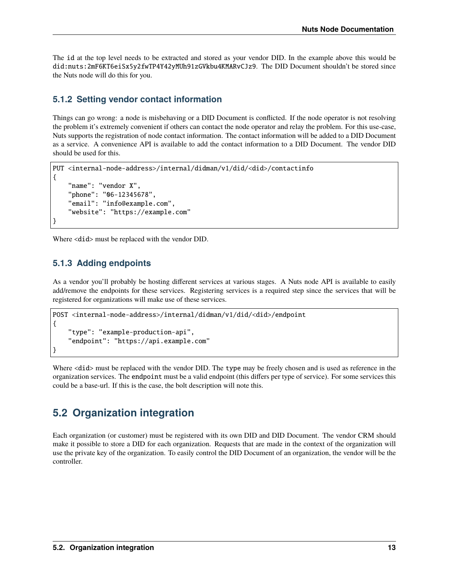The id at the top level needs to be extracted and stored as your vendor DID. In the example above this would be did:nuts:2mF6KT6eiSx5y2fwTP4Y42yMUh91zGVkbu4KMARvCJz9. The DID Document shouldn't be stored since the Nuts node will do this for you.

### **5.1.2 Setting vendor contact information**

Things can go wrong: a node is misbehaving or a DID Document is conflicted. If the node operator is not resolving the problem it's extremely convenient if others can contact the node operator and relay the problem. For this use-case, Nuts supports the registration of node contact information. The contact information will be added to a DID Document as a service. A convenience API is available to add the contact information to a DID Document. The vendor DID should be used for this.

```
PUT <internal-node-address>/internal/didman/v1/did/<did>/contactinfo
{
    "name": "vendor X",
    "phone": "06-12345678",
    "email": "info@example.com",
    "website": "https://example.com"
}
```
Where  $\langle \text{did} \rangle$  must be replaced with the vendor DID.

### **5.1.3 Adding endpoints**

As a vendor you'll probably be hosting different services at various stages. A Nuts node API is available to easily add/remove the endpoints for these services. Registering services is a required step since the services that will be registered for organizations will make use of these services.

```
POST <internal-node-address>/internal/didman/v1/did/<did>/endpoint
{
    "type": "example-production-api",
    "endpoint": "https://api.example.com"
}
```
Where  $\langle \text{did} \rangle$  must be replaced with the vendor DID. The type may be freely chosen and is used as reference in the organization services. The endpoint must be a valid endpoint (this differs per type of service). For some services this could be a base-url. If this is the case, the bolt description will note this.

### **5.2 Organization integration**

Each organization (or customer) must be registered with its own DID and DID Document. The vendor CRM should make it possible to store a DID for each organization. Requests that are made in the context of the organization will use the private key of the organization. To easily control the DID Document of an organization, the vendor will be the controller.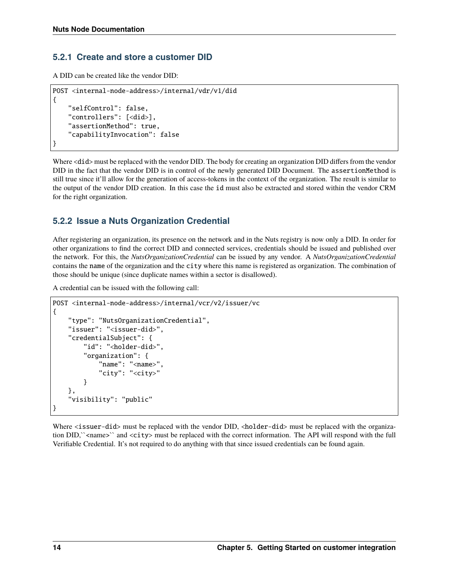#### **5.2.1 Create and store a customer DID**

A DID can be created like the vendor DID:

```
POST <internal-node-address>/internal/vdr/v1/did
{
    "selfControl": false,
    "controllers": [<did>],
    "assertionMethod": true,
    "capabilityInvocation": false
}
```
Where <did> must be replaced with the vendor DID. The body for creating an organization DID differs from the vendor DID in the fact that the vendor DID is in control of the newly generated DID Document. The assertionMethod is still true since it'll allow for the generation of access-tokens in the context of the organization. The result is similar to the output of the vendor DID creation. In this case the id must also be extracted and stored within the vendor CRM for the right organization.

### **5.2.2 Issue a Nuts Organization Credential**

After registering an organization, its presence on the network and in the Nuts registry is now only a DID. In order for other organizations to find the correct DID and connected services, credentials should be issued and published over the network. For this, the *NutsOrganizationCredential* can be issued by any vendor. A *NutsOrganizationCredential* contains the name of the organization and the city where this name is registered as organization. The combination of those should be unique (since duplicate names within a sector is disallowed).

A credential can be issued with the following call:

```
POST <internal-node-address>/internal/vcr/v2/issuer/vc
{
    "type": "NutsOrganizationCredential",
    "issuer": "<issuer-did>",
    "credentialSubject": {
        "id": "<holder-did>",
        "organization": {
            "name": "<name>"
            "city": "<city>"
        }
    },
    "visibility": "public"
}
```
Where <issuer-did> must be replaced with the vendor DID, <holder-did> must be replaced with the organization DID,``<name>`` and <city> must be replaced with the correct information. The API will respond with the full Verifiable Credential. It's not required to do anything with that since issued credentials can be found again.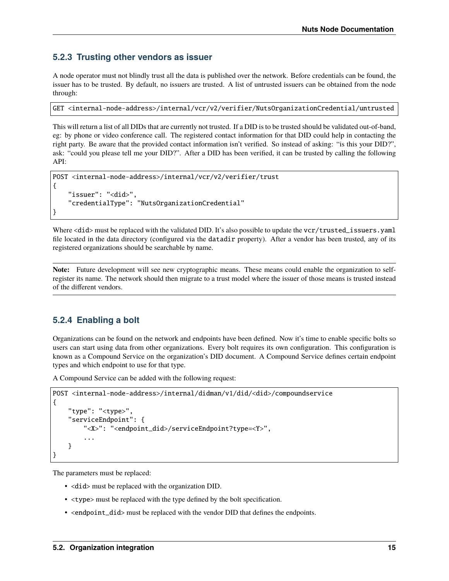#### **5.2.3 Trusting other vendors as issuer**

A node operator must not blindly trust all the data is published over the network. Before credentials can be found, the issuer has to be trusted. By default, no issuers are trusted. A list of untrusted issuers can be obtained from the node through:

GET <internal-node-address>/internal/vcr/v2/verifier/NutsOrganizationCredential/untrusted

This will return a list of all DIDs that are currently not trusted. If a DID is to be trusted should be validated out-of-band, eg: by phone or video conference call. The registered contact information for that DID could help in contacting the right party. Be aware that the provided contact information isn't verified. So instead of asking: "is this your DID?", ask: "could you please tell me your DID?". After a DID has been verified, it can be trusted by calling the following API:

```
POST <internal-node-address>/internal/vcr/v2/verifier/trust
{
    "issuer": "<did>",
    "credentialType": "NutsOrganizationCredential"
}
```
Where <did> must be replaced with the validated DID. It's also possible to update the vcr/trusted\_issuers.yaml file located in the data directory (configured via the datadir property). After a vendor has been trusted, any of its registered organizations should be searchable by name.

**Note:** Future development will see new cryptographic means. These means could enable the organization to selfregister its name. The network should then migrate to a trust model where the issuer of those means is trusted instead of the different vendors.

### **5.2.4 Enabling a bolt**

Organizations can be found on the network and endpoints have been defined. Now it's time to enable specific bolts so users can start using data from other organizations. Every bolt requires its own configuration. This configuration is known as a Compound Service on the organization's DID document. A Compound Service defines certain endpoint types and which endpoint to use for that type.

A Compound Service can be added with the following request:

```
POST <internal-node-address>/internal/didman/v1/did/<did>/compoundservice
{
    "type": "<type>",
    "serviceEndpoint": {
        "<X>": "<endpoint_did>/serviceEndpoint?type=<Y>",
        ...
    }
}
```
The parameters must be replaced:

- <did> must be replaced with the organization DID.
- <type> must be replaced with the type defined by the bolt specification.
- <endpoint\_did> must be replaced with the vendor DID that defines the endpoints.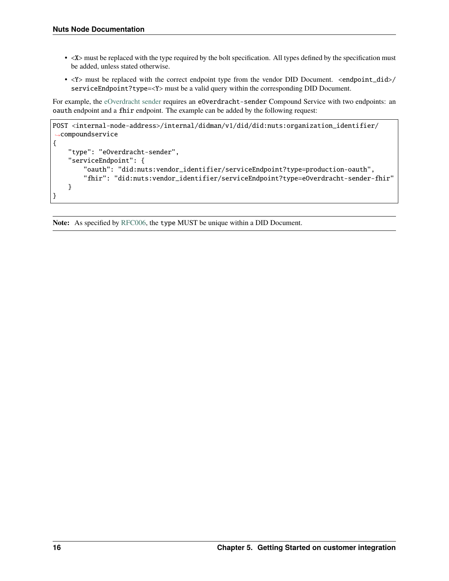- <X> must be replaced with the type required by the bolt specification. All types defined by the specification must be added, unless stated otherwise.
- <Y> must be replaced with the correct endpoint type from the vendor DID Document. <endpoint\_did>/ serviceEndpoint?type=<Y> must be a valid query within the corresponding DID Document.

For example, the [eOverdracht sender](https://nuts-foundation.gitbook.io/bolts/eoverdracht/leveranciersspecificatie#4-1-2-organisatie-endpoint-discovery) requires an eOverdracht-sender Compound Service with two endpoints: an oauth endpoint and a fhir endpoint. The example can be added by the following request:

```
POST <internal-node-address>/internal/didman/v1/did/did:nuts:organization_identifier/
˓→compoundservice
{
    "type": "eOverdracht-sender",
    "serviceEndpoint": {
        "oauth": "did:nuts:vendor_identifier/serviceEndpoint?type=production-oauth",
        "fhir": "did:nuts:vendor_identifier/serviceEndpoint?type=eOverdracht-sender-fhir"
   }
}
```
**Note:** As specified by [RFC006,](https://nuts-foundation.gitbook.io/drafts/rfc/rfc006-distributed-registry#4-services) the type MUST be unique within a DID Document.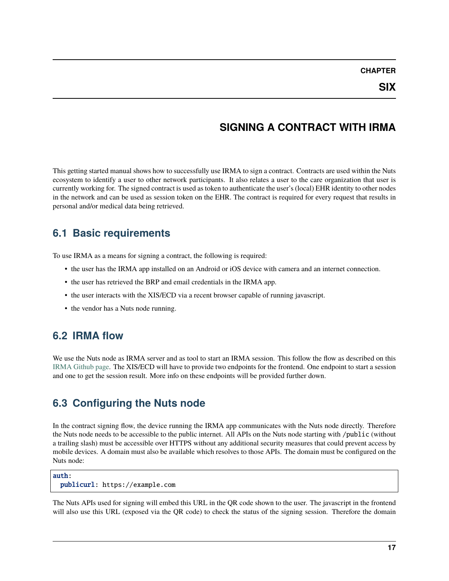### **SIGNING A CONTRACT WITH IRMA**

<span id="page-20-0"></span>This getting started manual shows how to successfully use IRMA to sign a contract. Contracts are used within the Nuts ecosystem to identify a user to other network participants. It also relates a user to the care organization that user is currently working for. The signed contract is used as token to authenticate the user's (local) EHR identity to other nodes in the network and can be used as session token on the EHR. The contract is required for every request that results in personal and/or medical data being retrieved.

### **6.1 Basic requirements**

To use IRMA as a means for signing a contract, the following is required:

- the user has the IRMA app installed on an Android or iOS device with camera and an internet connection.
- the user has retrieved the BRP and email credentials in the IRMA app.
- the user interacts with the XIS/ECD via a recent browser capable of running javascript.
- the vendor has a Nuts node running.

### **6.2 IRMA flow**

We use the Nuts node as IRMA server and as tool to start an IRMA session. This follow the flow as described on this [IRMA Github page.](https://github.com/privacybydesign/irma-frontend-packages#supported-irma-flows) The XIS/ECD will have to provide two endpoints for the frontend. One endpoint to start a session and one to get the session result. More info on these endpoints will be provided further down.

### **6.3 Configuring the Nuts node**

In the contract signing flow, the device running the IRMA app communicates with the Nuts node directly. Therefore the Nuts node needs to be accessible to the public internet. All APIs on the Nuts node starting with /public (without a trailing slash) must be accessible over HTTPS without any additional security measures that could prevent access by mobile devices. A domain must also be available which resolves to those APIs. The domain must be configured on the Nuts node:

#### auth: publicurl: https://example.com

The Nuts APIs used for signing will embed this URL in the QR code shown to the user. The javascript in the frontend will also use this URL (exposed via the QR code) to check the status of the signing session. Therefore the domain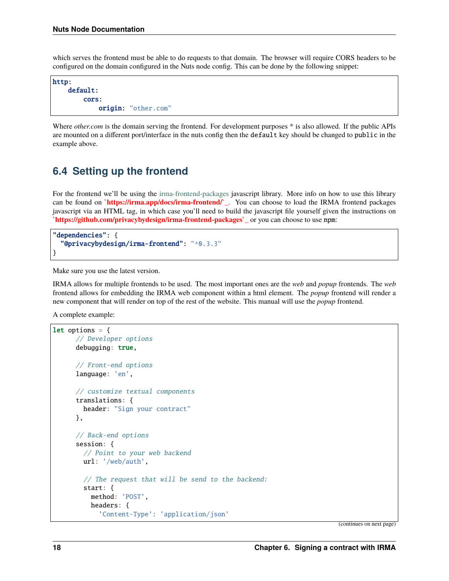which serves the frontend must be able to do requests to that domain. The browser will require CORS headers to be configured on the domain configured in the Nuts node config. This can be done by the following snippet:

http: default: cors: origin: "other.com"

Where *other.com* is the domain serving the frontend. For development purposes \* is also allowed. If the public APIs are mounted on a different port/interface in the nuts config then the default key should be changed to public in the example above.

### **6.4 Setting up the frontend**

For the frontend we'll be using the [irma-frontend-packages](https://github.com/privacybydesign/irma-frontend-packages) javascript library. More info on how to use this library can be found on **`https://irma.app/docs/irma-frontend/`\_**. You can choose to load the IRMA frontend packages javascript via an HTML tag, in which case you'll need to build the javascript file yourself given the instructions on **`https://github.com/privacybydesign/irma-frontend-packages`\_** or you can choose to use npm:

```
"dependencies": {
  "@privacybydesign/irma-frontend": "^0.3.3"
}
```
Make sure you use the latest version.

IRMA allows for multiple frontends to be used. The most important ones are the *web* and *popup* frontends. The *web* frontend allows for embedding the IRMA web component within a html element. The *popup* frontend will render a new component that will render on top of the rest of the website. This manual will use the *popup* frontend.

A complete example:

```
let options = {
      // Developer options
      debugging: true,
      // Front-end options
      language: 'en',
      // customize textual components
      translations: {
       header: "Sign your contract"
      },
      // Back-end options
      session: {
        // Point to your web backend
       url: '/web/auth',
        // The request that will be send to the backend:
        start: {
          method: 'POST',
          headers: {
            'Content-Type': 'application/json'
```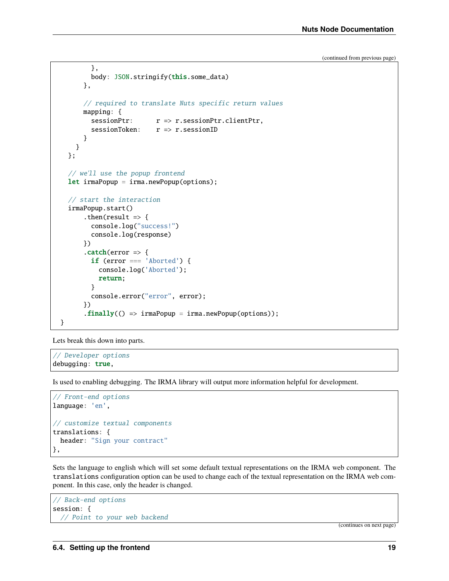```
},
         body: JSON.stringify(this.some_data)
      },
       // required to translate Nuts specific return values
      mapping: {
         sessionPtr: r \Rightarrow r.sessionPtr.clientPtr.sessionToken:  r \Rightarrow r.sessionID
       }
    }
  };
  // we'll use the popup frontend
  let irmaPopup = irma.newPopup(options);
  // start the interaction
  irmaPopup.start()
       .then(result \Rightarrow {
         console.log("success!")
         console.log(response)
       })
       \cdot catch(error \Rightarrow {
         if (error === 'Aborted') {
           console.log('Aborted');
           return;
         }
         console.error("error", error);
       })
       \text{.finally}() \Rightarrow \text{irmaPopup} = \text{irma.newPopup}(\text{options});
}
```
Lets break this down into parts.

// Developer options debugging: true,

Is used to enabling debugging. The IRMA library will output more information helpful for development.

```
// Front-end options
language: 'en',
// customize textual components
translations: {
 header: "Sign your contract"
},
```
Sets the language to english which will set some default textual representations on the IRMA web component. The translations configuration option can be used to change each of the textual representation on the IRMA web component. In this case, only the header is changed.

```
// Back-end options
session: {
  // Point to your web backend
```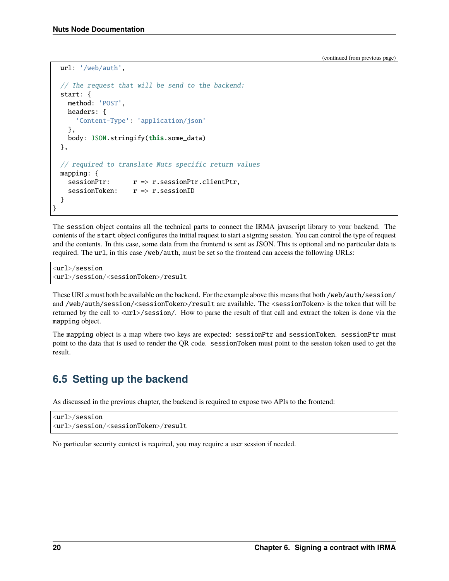```
url: '/web/auth',
  // The request that will be send to the backend:
  start: {
    method: 'POST',
    headers: {
      'Content-Type': 'application/json'
    },
    body: JSON.stringify(this.some_data)
  },
  // required to translate Nuts specific return values
 mapping: {
    sessionPtr: r \Rightarrow r.sessionPtr.clientPtr,
    sessionToken:  r \Rightarrow r.sessionID
  }
}
```
The session object contains all the technical parts to connect the IRMA javascript library to your backend. The contents of the start object configures the initial request to start a signing session. You can control the type of request and the contents. In this case, some data from the frontend is sent as JSON. This is optional and no particular data is required. The url, in this case /web/auth, must be set so the frontend can access the following URLs:

<url>/session <url>/session/<sessionToken>/result

These URLs must both be available on the backend. For the example above this means that both /web/auth/session/ and /web/auth/session/<sessionToken>/result are available. The <sessionToken> is the token that will be returned by the call to  $\langle \text{url}\rangle/\text{session}/$ . How to parse the result of that call and extract the token is done via the mapping object.

The mapping object is a map where two keys are expected: sessionPtr and sessionToken. sessionPtr must point to the data that is used to render the QR code. sessionToken must point to the session token used to get the result.

# **6.5 Setting up the backend**

As discussed in the previous chapter, the backend is required to expose two APIs to the frontend:

```
<url>/session
<url>/session/<sessionToken>/result
```
No particular security context is required, you may require a user session if needed.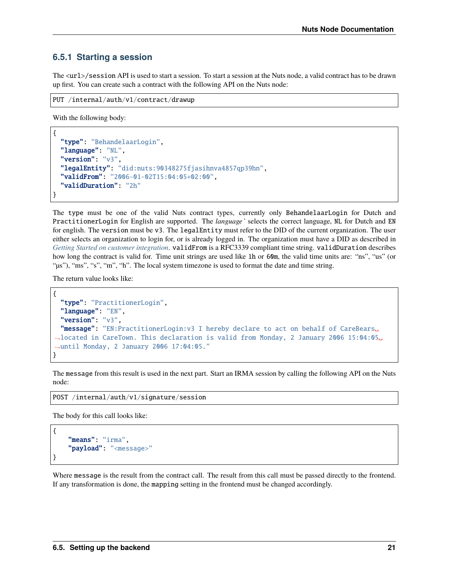#### **6.5.1 Starting a session**

The  $\langle$ url $>$ /session API is used to start a session. To start a session at the Nuts node, a valid contract has to be drawn up first. You can create such a contract with the following API on the Nuts node:

```
PUT /internal/auth/v1/contract/drawup
```
With the following body:

```
{
  "type": "BehandelaarLogin",
  "language": "NL",
  "version": "v3",
  "legalEntity": "did:nuts:90348275fjasihnva4857qp39hn",
  "validFrom": "2006-01-02T15:04:05+02:00",
  "validDuration": "2h"
}
```
The type must be one of the valid Nuts contract types, currently only BehandelaarLogin for Dutch and PractitionerLogin for English are supported. The *language`* selects the correct language, NL for Dutch and EN for english. The version must be v3. The legalEntity must refer to the DID of the current organization. The user either selects an organization to login for, or is already logged in. The organization must have a DID as described in *[Getting Started on customer integration](#page-14-0)*. validFrom is a RFC3339 compliant time string. validDuration describes how long the contract is valid for. Time unit strings are used like 1h or 60m, the valid time units are: "ns", "us" (or "µs"), "ms", "s", "m", "h". The local system timezone is used to format the date and time string.

The return value looks like:

```
{
  "type": "PractitionerLogin",
  "language": "EN",
  "version": "v3"
  "message": "EN:PractitionerLogin:v3 I hereby declare to act on behalf of CareBears␣
˓→located in CareTown. This declaration is valid from Monday, 2 January 2006 15:04:05␣
˓→until Monday, 2 January 2006 17:04:05."
}
```
The message from this result is used in the next part. Start an IRMA session by calling the following API on the Nuts node:

POST /internal/auth/v1/signature/session

The body for this call looks like:

{

}

```
"means": "irma",
"payload": "<message>"
```
Where message is the result from the contract call. The result from this call must be passed directly to the frontend. If any transformation is done, the mapping setting in the frontend must be changed accordingly.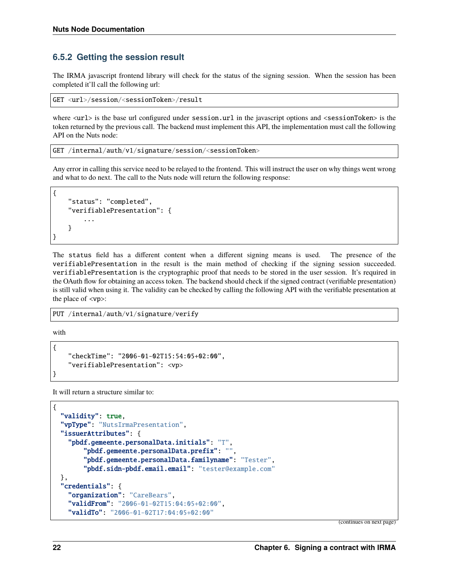#### **6.5.2 Getting the session result**

The IRMA javascript frontend library will check for the status of the signing session. When the session has been completed it'll call the following url:

GET <url>/session/<sessionToken>/result

where  $\langle \text{url}\rangle$  is the base url configured under session.url in the javascript options and  $\langle \text{sessionToken}\rangle$  is the token returned by the previous call. The backend must implement this API, the implementation must call the following API on the Nuts node:

GET /internal/auth/v1/signature/session/<sessionToken>

Any error in calling this service need to be relayed to the frontend. This will instruct the user on why things went wrong and what to do next. The call to the Nuts node will return the following response:

```
{
    "status": "completed",
    "verifiablePresentation": {
        ...
    }
```
The status field has a different content when a different signing means is used. The presence of the verifiablePresentation in the result is the main method of checking if the signing session succeeded. verifiablePresentation is the cryptographic proof that needs to be stored in the user session. It's required in the OAuth flow for obtaining an access token. The backend should check if the signed contract (verifiable presentation) is still valid when using it. The validity can be checked by calling the following API with the verifiable presentation at the place of <vp>:

PUT /internal/auth/v1/signature/verify

with

{

}

}

```
"checkTime": "2006-01-02T15:54:05+02:00",
"verifiablePresentation": <vp>
```
It will return a structure similar to:

```
{
  "validity": true,
  "vpType": "NutsIrmaPresentation",
  "issuerAttributes": {
    "pbdf.gemeente.personalData.initials": "T",
        "pbdf.gemeente.personalData.prefix": "",
        "pbdf.gemeente.personalData.familyname": "Tester",
        "pbdf.sidn-pbdf.email.email": "tester@example.com"
  },
  "credentials": {
    "organization": "CareBears",
    "validFrom": "2006-01-02T15:04:05+02:00",
    "validTo": "2006-01-02T17:04:05+02:00"
```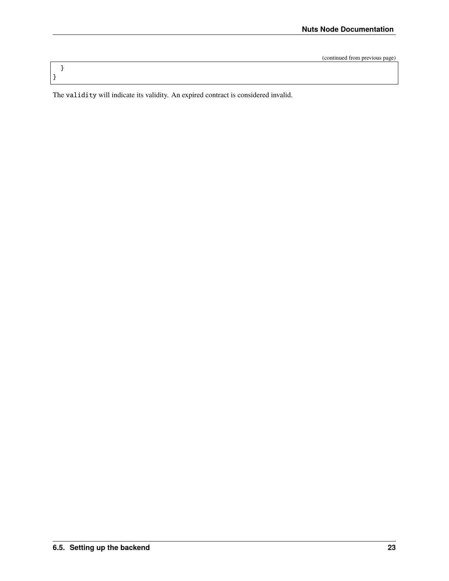The validity will indicate its validity. An expired contract is considered invalid.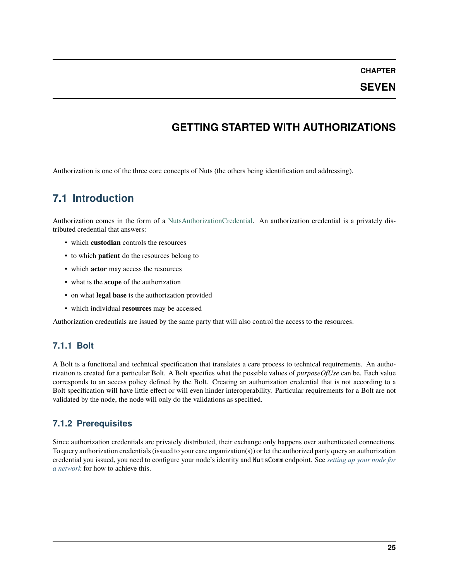**CHAPTER**

#### **SEVEN**

### **GETTING STARTED WITH AUTHORIZATIONS**

<span id="page-28-0"></span>Authorization is one of the three core concepts of Nuts (the others being identification and addressing).

# **7.1 Introduction**

Authorization comes in the form of a [NutsAuthorizationCredential.](https://nuts-foundation.gitbook.io/drafts/rfc/rfc014-authorization-credential) An authorization credential is a privately distributed credential that answers:

- which **custodian** controls the resources
- to which **patient** do the resources belong to
- which **actor** may access the resources
- what is the **scope** of the authorization
- on what **legal base** is the authorization provided
- which individual **resources** may be accessed

Authorization credentials are issued by the same party that will also control the access to the resources.

#### **7.1.1 Bolt**

A Bolt is a functional and technical specification that translates a care process to technical requirements. An authorization is created for a particular Bolt. A Bolt specifies what the possible values of *purposeOfUse* can be. Each value corresponds to an access policy defined by the Bolt. Creating an authorization credential that is not according to a Bolt specification will have little effect or will even hinder interoperability. Particular requirements for a Bolt are not validated by the node, the node will only do the validations as specified.

### **7.1.2 Prerequisites**

Since authorization credentials are privately distributed, their exchange only happens over authenticated connections. To query authorization credentials (issued to your care organization(s)) or let the authorized party query an authorization credential you issued, you need to configure your node's identity and NutsComm endpoint. See *[setting up your node for](#page-10-0) [a network](#page-10-0)* for how to achieve this.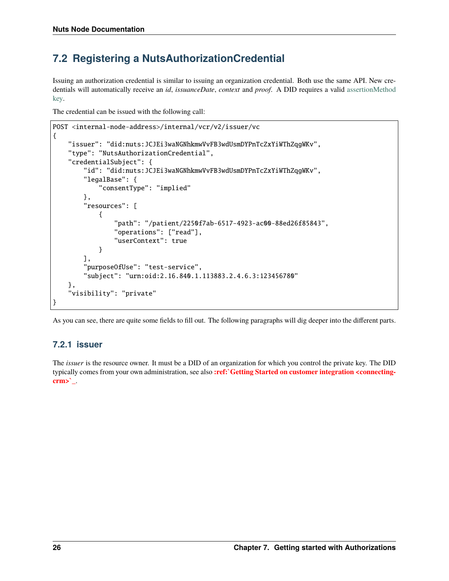# **7.2 Registering a NutsAuthorizationCredential**

Issuing an authorization credential is similar to issuing an organization credential. Both use the same API. New credentials will automatically receive an *id*, *issuanceDate*, *context* and *proof*. A DID requires a valid [assertionMethod](https://nuts-foundation.gitbook.io/drafts/rfc/rfc011-verifiable-credential#3-1-1-jsonwebsignature2020) [key.](https://nuts-foundation.gitbook.io/drafts/rfc/rfc011-verifiable-credential#3-1-1-jsonwebsignature2020)

The credential can be issued with the following call:

```
POST <internal-node-address>/internal/vcr/v2/issuer/vc
{
    "issuer": "did:nuts:JCJEi3waNGNhkmwVvFB3wdUsmDYPnTcZxYiWThZqgWKv",
    "type": "NutsAuthorizationCredential",
    "credentialSubject": {
        "id": "did:nuts:JCJEi3waNGNhkmwVvFB3wdUsmDYPnTcZxYiWThZqgWKv",
        "legalBase": {
            "consentType": "implied"
        },
        "resources": [
            {
                "path": "/patient/2250f7ab-6517-4923-ac00-88ed26f85843",
                "operations": ["read"],
                "userContext": true
            }
        ],
        "purposeOfUse": "test-service",
        "subject": "urn:oid:2.16.840.1.113883.2.4.6.3:123456780"
   },
    "visibility": "private"
}
```
As you can see, there are quite some fields to fill out. The following paragraphs will dig deeper into the different parts.

#### **7.2.1 issuer**

The *issuer* is the resource owner. It must be a DID of an organization for which you control the private key. The DID typically comes from your own administration, see also **:ref:`Getting Started on customer integration <connectingcrm>`\_**.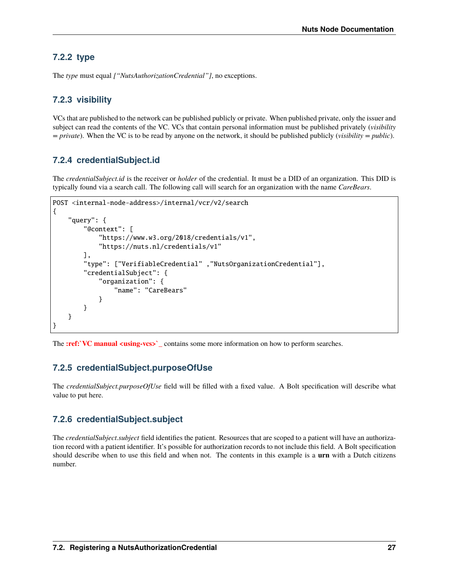### **7.2.2 type**

The *type* must equal *["NutsAuthorizationCredential"]*, no exceptions.

### **7.2.3 visibility**

VCs that are published to the network can be published publicly or private. When published private, only the issuer and subject can read the contents of the VC. VCs that contain personal information must be published privately (*visibility = private*). When the VC is to be read by anyone on the network, it should be published publicly (*visibility = public*).

### **7.2.4 credentialSubject.id**

The *credentialSubject.id* is the receiver or *holder* of the credential. It must be a DID of an organization. This DID is typically found via a search call. The following call will search for an organization with the name *CareBears*.

```
POST <internal-node-address>/internal/vcr/v2/search
{
    "query": {
        "@context": [
            "https://www.w3.org/2018/credentials/v1",
            "https://nuts.nl/credentials/v1"
        ],
        "type": ["VerifiableCredential" ,"NutsOrganizationCredential"],
        "credentialSubject": {
            "organization": {
                "name": "CareBears"
            }
        }
    }
}
```
The **:ref:** VC manual <using-vcs>> contains some more information on how to perform searches.

### **7.2.5 credentialSubject.purposeOfUse**

The *credentialSubject.purposeOfUse* field will be filled with a fixed value. A Bolt specification will describe what value to put here.

### **7.2.6 credentialSubject.subject**

The *credentialSubject.subject* field identifies the patient. Resources that are scoped to a patient will have an authorization record with a patient identifier. It's possible for authorization records to not include this field. A Bolt specification should describe when to use this field and when not. The contents in this example is a **urn** with a Dutch citizens number.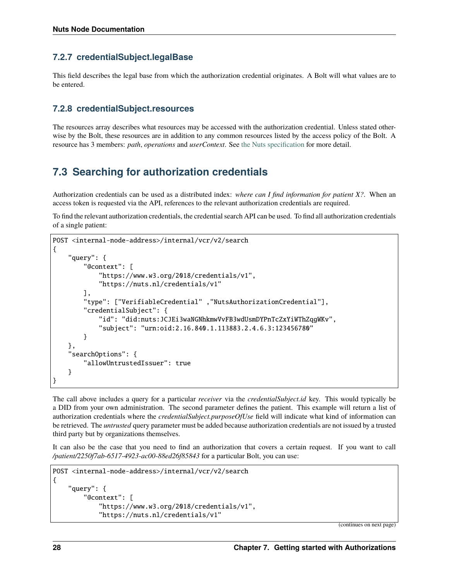#### **7.2.7 credentialSubject.legalBase**

This field describes the legal base from which the authorization credential originates. A Bolt will what values are to be entered.

#### **7.2.8 credentialSubject.resources**

The resources array describes what resources may be accessed with the authorization credential. Unless stated otherwise by the Bolt, these resources are in addition to any common resources listed by the access policy of the Bolt. A resource has 3 members: *path*, *operations* and *userContext*. See [the Nuts specification](https://nuts-foundation.gitbook.io/drafts/rfc/rfc014-authorization-credential#3-2-4-resources) for more detail.

### **7.3 Searching for authorization credentials**

Authorization credentials can be used as a distributed index: *where can I find information for patient X?*. When an access token is requested via the API, references to the relevant authorization credentials are required.

To find the relevant authorization credentials, the credential search API can be used. To find all authorization credentials of a single patient:

```
POST <internal-node-address>/internal/vcr/v2/search
{
    "query": {
        "@context": [
            "https://www.w3.org/2018/credentials/v1",
            "https://nuts.nl/credentials/v1"
        ],
        "type": ["VerifiableCredential" ,"NutsAuthorizationCredential"],
        "credentialSubject": {
            "id": "did:nuts:JCJEi3waNGNhkmwVvFB3wdUsmDYPnTcZxYiWThZqgWKv",
            "subject": "urn:oid:2.16.840.1.113883.2.4.6.3:123456780"
        }
    },
    "searchOptions": {
        "allowUntrustedIssuer": true
    }
}
```
The call above includes a query for a particular *receiver* via the *credentialSubject.id* key. This would typically be a DID from your own administration. The second parameter defines the patient. This example will return a list of authorization credentials where the *credentialSubject.purposeOfUse* field will indicate what kind of information can be retrieved. The *untrusted* query parameter must be added because authorization credentials are not issued by a trusted third party but by organizations themselves.

It can also be the case that you need to find an authorization that covers a certain request. If you want to call */patient/2250f7ab-6517-4923-ac00-88ed26f85843* for a particular Bolt, you can use:

```
POST <internal-node-address>/internal/vcr/v2/search
{
    "query": {
        "@context": [
            "https://www.w3.org/2018/credentials/v1",
            "https://nuts.nl/credentials/v1"
```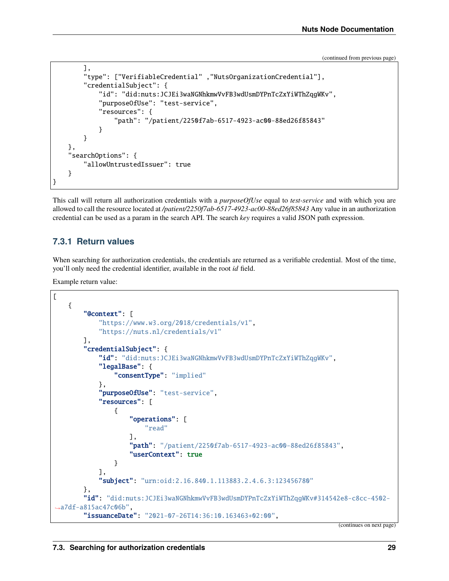```
],
        "type": ["VerifiableCredential" ,"NutsOrganizationCredential"],
        "credentialSubject": {
            "id": "did:nuts:JCJEi3waNGNhkmwVvFB3wdUsmDYPnTcZxYiWThZqgWKv",
            "purposeOfUse": "test-service",
            "resources": {
                "path": "/patient/2250f7ab-6517-4923-ac00-88ed26f85843"
            }
        }
    },
    "searchOptions": {
        "allowUntrustedIssuer": true
    }
}
```
This call will return all authorization credentials with a *purposeOfUse* equal to *test-service* and with which you are allowed to call the resource located at */patient/2250f7ab-6517-4923-ac00-88ed26f85843* Any value in an authorization credential can be used as a param in the search API. The search *key* requires a valid JSON path expression.

#### **7.3.1 Return values**

When searching for authorization credentials, the credentials are returned as a verifiable credential. Most of the time, you'll only need the credential identifier, available in the root *id* field.

Example return value:

```
\Gamma{
        "@context": [
            "https://www.w3.org/2018/credentials/v1",
            "https://nuts.nl/credentials/v1"
        ],
        "credentialSubject": {
            "id": "did:nuts:JCJEi3waNGNhkmwVvFB3wdUsmDYPnTcZxYiWThZqgWKv",
            "legalBase": {
                "consentType": "implied"
            },
            "purposeOfUse": "test-service",
            "resources": [
                {
                    "operations": [
                         "read"
                    ],
                    "path": "/patient/2250f7ab-6517-4923-ac00-88ed26f85843",
                    "userContext": true
                }
            ],
            "subject": "urn:oid:2.16.840.1.113883.2.4.6.3:123456780"
        },
        "id": "did:nuts:JCJEi3waNGNhkmwVvFB3wdUsmDYPnTcZxYiWThZqgWKv#314542e8-c8cc-4502-
˓→a7df-a815ac47c06b",
        "issuanceDate": "2021-07-26T14:36:10.163463+02:00",
```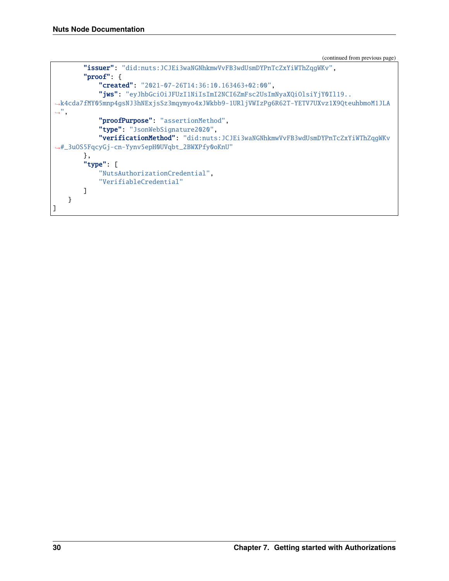```
"issuer": "did:nuts:JCJEi3waNGNhkmwVvFB3wdUsmDYPnTcZxYiWThZqgWKv",
        "proof": {
            "created": "2021-07-26T14:36:10.163463+02:00",
            "jws": "eyJhbGciOiJFUzI1NiIsImI2NCI6ZmFsc2UsImNyaXQiOlsiYjY0Il19..
˓→k4cda7fMY05mnp4gsNJ3hNExjsSz3mqymyo4xJWkbb9-1URljVWIzPg6R62T-YETV7UXvz1X9QteuhbmoM1JLA
\hookrightarrow ",
            "proofPurpose": "assertionMethod",
            "type": "JsonWebSignature2020",
            "verificationMethod": "did:nuts:JCJEi3waNGNhkmwVvFB3wdUsmDYPnTcZxYiWThZqgWKv
˓→#_3uOS5FqcyGj-cn-Yynv5epH0UVqbt_2BWXPfy0oKnU"
        },
        "type": [
            "NutsAuthorizationCredential",
            "VerifiableCredential"
        ]
    }
]
```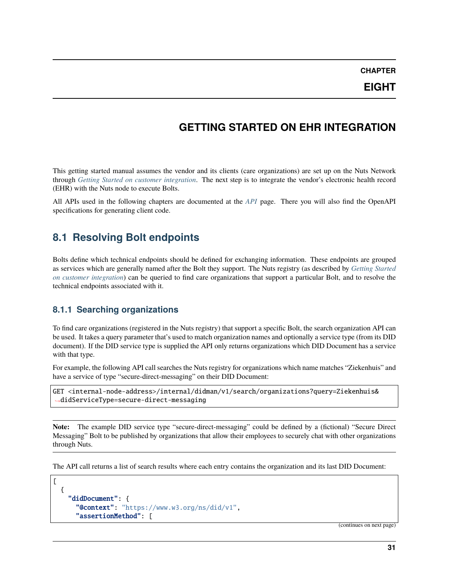**CHAPTER**

### **GETTING STARTED ON EHR INTEGRATION**

<span id="page-34-0"></span>This getting started manual assumes the vendor and its clients (care organizations) are set up on the Nuts Network through *[Getting Started on customer integration](#page-14-0)*. The next step is to integrate the vendor's electronic health record (EHR) with the Nuts node to execute Bolts.

All APIs used in the following chapters are documented at the *[API](#page-36-0)* page. There you will also find the OpenAPI specifications for generating client code.

### **8.1 Resolving Bolt endpoints**

Bolts define which technical endpoints should be defined for exchanging information. These endpoints are grouped as services which are generally named after the Bolt they support. The Nuts registry (as described by *[Getting Started](#page-14-0) [on customer integration](#page-14-0)*) can be queried to find care organizations that support a particular Bolt, and to resolve the technical endpoints associated with it.

#### **8.1.1 Searching organizations**

To find care organizations (registered in the Nuts registry) that support a specific Bolt, the search organization API can be used. It takes a query parameter that's used to match organization names and optionally a service type (from its DID document). If the DID service type is supplied the API only returns organizations which DID Document has a service with that type.

For example, the following API call searches the Nuts registry for organizations which name matches "Ziekenhuis" and have a service of type "secure-direct-messaging" on their DID Document:

GET <internal-node-address>/internal/didman/v1/search/organizations?query=Ziekenhuis& ˓<sup>→</sup>didServiceType=secure-direct-messaging

**Note:** The example DID service type "secure-direct-messaging" could be defined by a (fictional) "Secure Direct Messaging" Bolt to be published by organizations that allow their employees to securely chat with other organizations through Nuts.

The API call returns a list of search results where each entry contains the organization and its last DID Document:

```
\Gamma{
    "didDocument": {
      "@context": "https://www.w3.org/ns/did/v1",
      "assertionMethod": [
```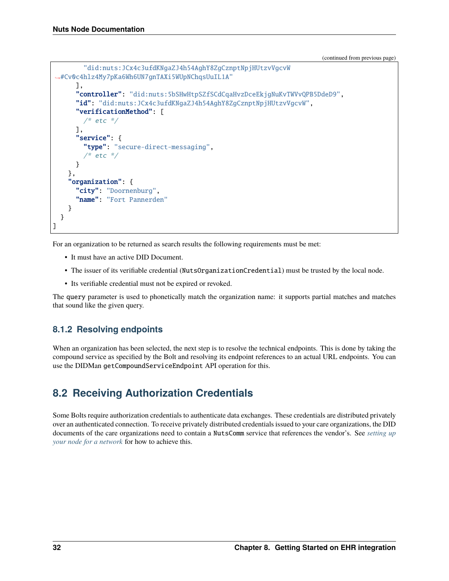```
"did:nuts:JCx4c3ufdKNgaZJ4h54AghY8ZgCznptNpjHUtzvVgcvW
˓→#Cv0c4hlz4My7pKa6Wh6UN7gnTAXi5WUpNChqsUuIL1A"
      ],
      "controller": "did:nuts:5bSHwHtpSZfSCdCqaHvzDceEkjgNuKvTWVvQPB5DdeD9",
      "id": "did:nuts:JCx4c3ufdKNgaZJ4h54AghY8ZgCznptNpjHUtzvVgcvW",
      "verificationMethod": [
        /* etc */],
      "service": {
        "type": "secure-direct-messaging",
         * etc */}
    },
    "organization": {
      "city": "Doornenburg",
      "name": "Fort Pannerden"
    }
  }
]
```
For an organization to be returned as search results the following requirements must be met:

- It must have an active DID Document.
- The issuer of its verifiable credential (NutsOrganizationCredential) must be trusted by the local node.
- Its verifiable credential must not be expired or revoked.

The query parameter is used to phonetically match the organization name: it supports partial matches and matches that sound like the given query.

### **8.1.2 Resolving endpoints**

When an organization has been selected, the next step is to resolve the technical endpoints. This is done by taking the compound service as specified by the Bolt and resolving its endpoint references to an actual URL endpoints. You can use the DIDMan getCompoundServiceEndpoint API operation for this.

# **8.2 Receiving Authorization Credentials**

Some Bolts require authorization credentials to authenticate data exchanges. These credentials are distributed privately over an authenticated connection. To receive privately distributed credentials issued to your care organizations, the DID documents of the care organizations need to contain a NutsComm service that references the vendor's. See *[setting up](#page-10-0) [your node for a network](#page-10-0)* for how to achieve this.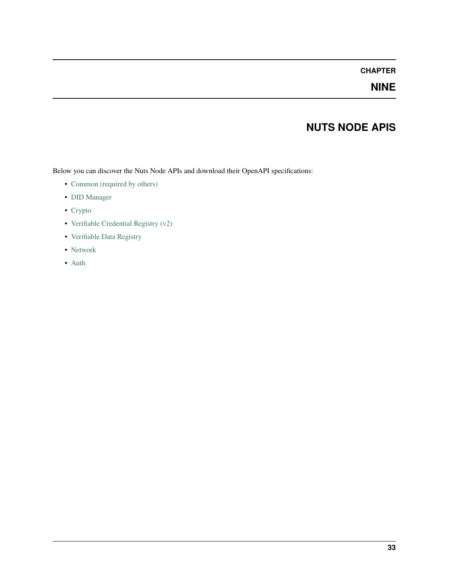# **NINE**

# **NUTS NODE APIS**

Below you can discover the Nuts Node APIs and download their OpenAPI specifications:

- [Common \(required by others\)](../../_static/common/error_response.yaml)
- [DID Manager](../../_static/didman/v1.yaml)
- [Crypto](../../_static/crypto/v1.yaml)
- [Verifiable Credential Registry \(v2\)](../../_static/vcr/v2.yaml)
- [Verifiable Data Registry](../../_static/vdr/v1.yaml)
- [Network](../../_static/network/v1.yaml)
- [Auth](../../_static/auth/v1.yaml)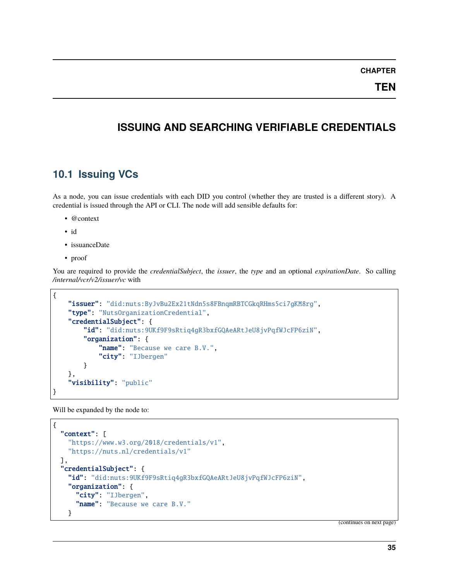**TEN**

## **ISSUING AND SEARCHING VERIFIABLE CREDENTIALS**

## **10.1 Issuing VCs**

As a node, you can issue credentials with each DID you control (whether they are trusted is a different story). A credential is issued through the API or CLI. The node will add sensible defaults for:

- @context
- id
- issuanceDate
- proof

You are required to provide the *credentialSubject*, the *issuer*, the *type* and an optional *expirationDate*. So calling */internal/vcr/v2/issuer/vc* with

```
{
    "issuer": "did:nuts:ByJvBu2Ex21tNdn5s8FBnqmRBTCGkqRHms5ci7gKM8rg",
    "type": "NutsOrganizationCredential",
    "credentialSubject": {
        "id": "did:nuts:9UKf9F9sRtiq4gR3bxfGQAeARtJeU8jvPqfWJcFP6ziN",
        "organization": {
            "name": "Because we care B.V.",
            "city": "IJbergen"
        }
    },
    "visibility": "public"
}
```
Will be expanded by the node to:

```
{
  "context": [
    "https://www.w3.org/2018/credentials/v1",
    "https://nuts.nl/credentials/v1"
  ],
  "credentialSubject": {
    "id": "did:nuts:9UKf9F9sRtiq4gR3bxfGQAeARtJeU8jvPqfWJcFP6ziN",
    "organization": {
      "city": "IJbergen",
      "name": "Because we care B.V."
   }
```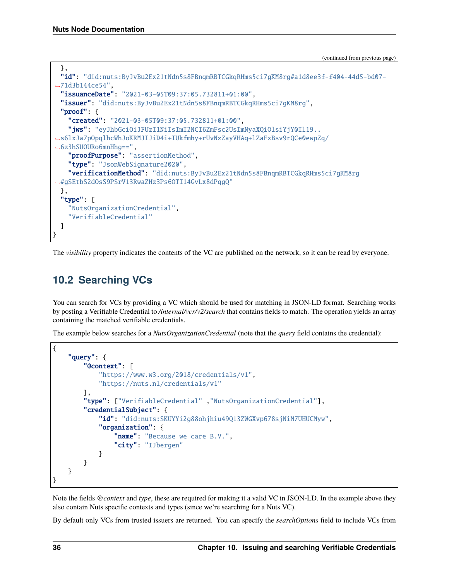```
},
  "id": "did:nuts:ByJvBu2Ex21tNdn5s8FBnqmRBTCGkqRHms5ci7gKM8rg#a1d8ee3f-f404-44d5-bd07-
\rightarrow71d3b144ce54"
  "issuanceDate": "2021-03-05T09:37:05.732811+01:00",
  "issuer": "did:nuts:ByJvBu2Ex21tNdn5s8FBnqmRBTCGkqRHms5ci7gKM8rg",
  "proof": {
    "created": "2021-03-05T09:37:05.732811+01:00".
    "jws": "eyJhbGciOiJFUzI1NiIsImI2NCI6ZmFsc2UsImNyaXQiOlsiYjY0Il19..
˓→s6lxJa7pOpqlhcWhJoKRMJIJiD4i+IUkfmhy+rUvNzZayVHAq+lZaFxBsv9rQCe0ewpZq/
→6z3hSUOURo6mnHhq==",
    "proofPurpose": "assertionMethod",
    "type": "JsonWebSignature2020",
    "verificationMethod": "did:nuts:ByJvBu2Ex21tNdn5s8FBnqmRBTCGkqRHms5ci7gKM8rg
˓→#gSEtbS2dOsS9PSrV13RwaZHz3Ps6OTI14GvLx8dPqgQ"
 },
  "type" [
    "NutsOrganizationCredential",
    "VerifiableCredential"
  ]
}
```
The *visibility* property indicates the contents of the VC are published on the network, so it can be read by everyone.

# **10.2 Searching VCs**

You can search for VCs by providing a VC which should be used for matching in JSON-LD format. Searching works by posting a Verifiable Credential to */internal/vcr/v2/search* that contains fields to match. The operation yields an array containing the matched verifiable credentials.

The example below searches for a *NutsOrganizationCredential* (note that the *query* field contains the credential):

```
{
    "query": {
        "@context": [
            "https://www.w3.org/2018/credentials/v1",
            "https://nuts.nl/credentials/v1"
        ],
        "type": ["VerifiableCredential" ,"NutsOrganizationCredential"],
        "credentialSubject": {
            "id": "did:nuts:SKUYYi2g88ohjhiu49Q13ZWGXvp678sjNiM7UHUCMyw",
            "organization": {
                "name": "Because we care B.V.",
                "city": "IJbergen"
            }
        }
    }
}
```
Note the fields *@context* and *type*, these are required for making it a valid VC in JSON-LD. In the example above they also contain Nuts specific contexts and types (since we're searching for a Nuts VC).

By default only VCs from trusted issuers are returned. You can specify the *searchOptions* field to include VCs from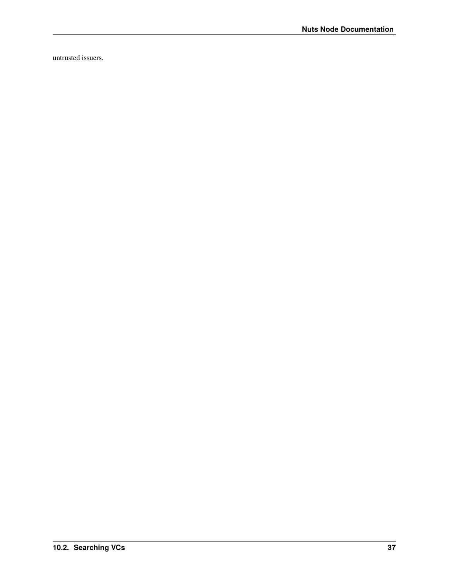untrusted issuers.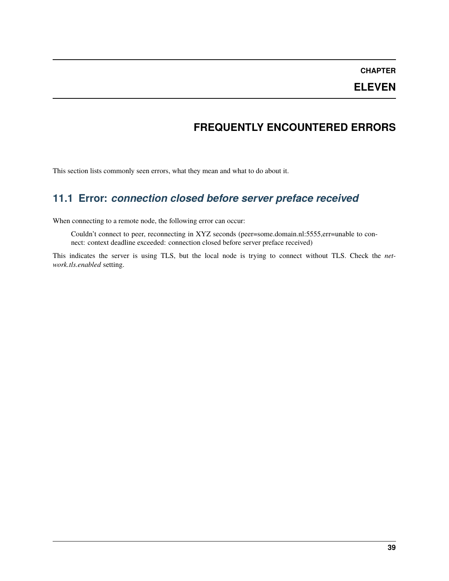## **ELEVEN**

## **FREQUENTLY ENCOUNTERED ERRORS**

This section lists commonly seen errors, what they mean and what to do about it.

# **11.1 Error:** *connection closed before server preface received*

When connecting to a remote node, the following error can occur:

Couldn't connect to peer, reconnecting in XYZ seconds (peer=some.domain.nl:5555,err=unable to connect: context deadline exceeded: connection closed before server preface received)

This indicates the server is using TLS, but the local node is trying to connect without TLS. Check the *network.tls.enabled* setting.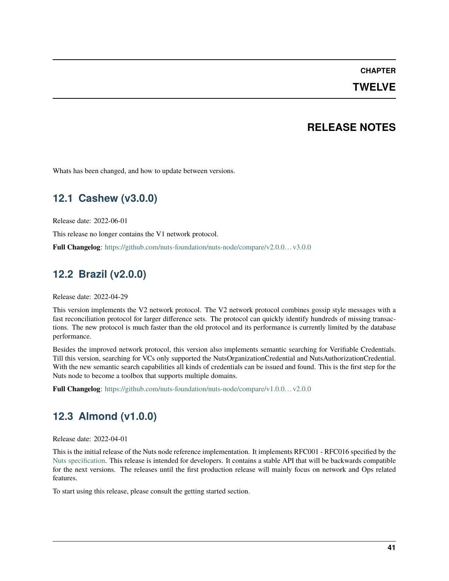#### **TWELVE**

### **RELEASE NOTES**

Whats has been changed, and how to update between versions.

# **12.1 Cashew (v3.0.0)**

Release date: 2022-06-01

This release no longer contains the V1 network protocol.

**Full Changelog**: https://github.com/nuts-foundation/nuts-node/compare/v2.0.0.. . v3.0.0

## **12.2 Brazil (v2.0.0)**

Release date: 2022-04-29

This version implements the V2 network protocol. The V2 network protocol combines gossip style messages with a fast reconciliation protocol for larger difference sets. The protocol can quickly identify hundreds of missing transactions. The new protocol is much faster than the old protocol and its performance is currently limited by the database performance.

Besides the improved network protocol, this version also implements semantic searching for Verifiable Credentials. Till this version, searching for VCs only supported the NutsOrganizationCredential and NutsAuthorizationCredential. With the new semantic search capabilities all kinds of credentials can be issued and found. This is the first step for the Nuts node to become a toolbox that supports multiple domains.

**Full Changelog**: https://github.com/nuts-foundation/nuts-node/compare/v1.0.0.. . v2.0.0

## **12.3 Almond (v1.0.0)**

Release date: 2022-04-01

This is the initial release of the Nuts node reference implementation. It implements RFC001 - RFC016 specified by the [Nuts specification.](https://nuts-foundation.gitbook.io) This release is intended for developers. It contains a stable API that will be backwards compatible for the next versions. The releases until the first production release will mainly focus on network and Ops related features.

To start using this release, please consult the getting started section.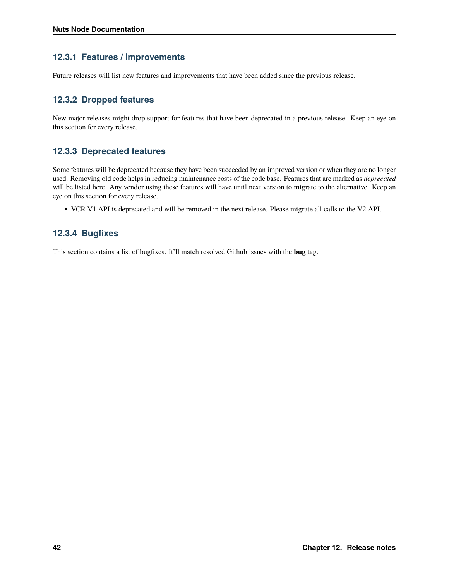#### **12.3.1 Features / improvements**

Future releases will list new features and improvements that have been added since the previous release.

### **12.3.2 Dropped features**

New major releases might drop support for features that have been deprecated in a previous release. Keep an eye on this section for every release.

#### **12.3.3 Deprecated features**

Some features will be deprecated because they have been succeeded by an improved version or when they are no longer used. Removing old code helps in reducing maintenance costs of the code base. Features that are marked as *deprecated* will be listed here. Any vendor using these features will have until next version to migrate to the alternative. Keep an eye on this section for every release.

• VCR V1 API is deprecated and will be removed in the next release. Please migrate all calls to the V2 API.

#### **12.3.4 Bugfixes**

This section contains a list of bugfixes. It'll match resolved Github issues with the **bug** tag.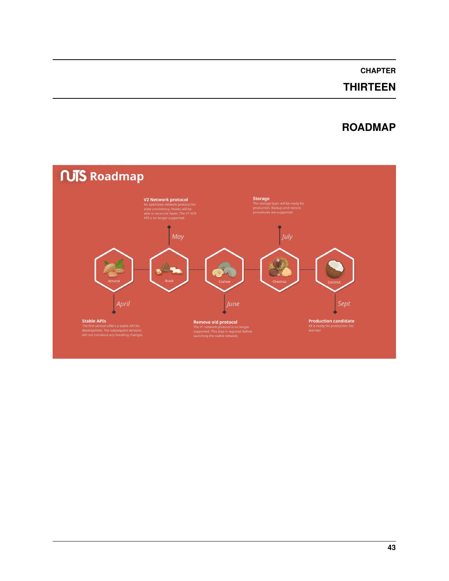# **THIRTEEN**

# **ROADMAP**

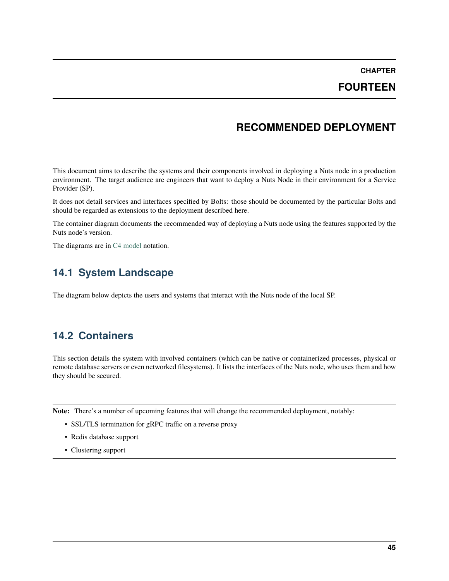### **FOURTEEN**

## **RECOMMENDED DEPLOYMENT**

This document aims to describe the systems and their components involved in deploying a Nuts node in a production environment. The target audience are engineers that want to deploy a Nuts Node in their environment for a Service Provider (SP).

It does not detail services and interfaces specified by Bolts: those should be documented by the particular Bolts and should be regarded as extensions to the deployment described here.

The container diagram documents the recommended way of deploying a Nuts node using the features supported by the Nuts node's version.

The diagrams are in [C4 model](https://c4model.com/) notation.

## **14.1 System Landscape**

The diagram below depicts the users and systems that interact with the Nuts node of the local SP.

## **14.2 Containers**

This section details the system with involved containers (which can be native or containerized processes, physical or remote database servers or even networked filesystems). It lists the interfaces of the Nuts node, who uses them and how they should be secured.

**Note:** There's a number of upcoming features that will change the recommended deployment, notably:

- SSL/TLS termination for gRPC traffic on a reverse proxy
- Redis database support
- Clustering support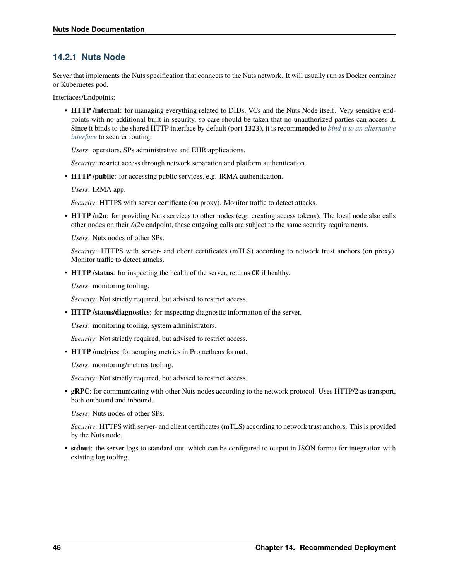### **14.2.1 Nuts Node**

Server that implements the Nuts specification that connects to the Nuts network. It will usually run as Docker container or Kubernetes pod.

Interfaces/Endpoints:

• **HTTP /internal**: for managing everything related to DIDs, VCs and the Nuts Node itself. Very sensitive endpoints with no additional built-in security, so care should be taken that no unauthorized parties can access it. Since it binds to the shared HTTP interface by default (port 1323), it is recommended to *[bind it to an alternative](#page-62-0) [interface](#page-62-0)* to securer routing.

*Users*: operators, SPs administrative and EHR applications.

*Security*: restrict access through network separation and platform authentication.

• **HTTP /public**: for accessing public services, e.g. IRMA authentication.

*Users*: IRMA app.

*Security*: HTTPS with server certificate (on proxy). Monitor traffic to detect attacks.

• **HTTP /n2n**: for providing Nuts services to other nodes (e.g. creating access tokens). The local node also calls other nodes on their */n2n* endpoint, these outgoing calls are subject to the same security requirements.

*Users*: Nuts nodes of other SPs.

*Security*: HTTPS with server- and client certificates (mTLS) according to network trust anchors (on proxy). Monitor traffic to detect attacks.

• **HTTP /status**: for inspecting the health of the server, returns OK if healthy.

*Users*: monitoring tooling.

*Security*: Not strictly required, but advised to restrict access.

• **HTTP /status/diagnostics**: for inspecting diagnostic information of the server.

*Users*: monitoring tooling, system administrators.

*Security*: Not strictly required, but advised to restrict access.

• **HTTP /metrics**: for scraping metrics in Prometheus format.

*Users*: monitoring/metrics tooling.

*Security*: Not strictly required, but advised to restrict access.

• **gRPC**: for communicating with other Nuts nodes according to the network protocol. Uses HTTP/2 as transport, both outbound and inbound.

*Users*: Nuts nodes of other SPs.

*Security*: HTTPS with server- and client certificates (mTLS) according to network trust anchors. This is provided by the Nuts node.

• **stdout**: the server logs to standard out, which can be configured to output in JSON format for integration with existing log tooling.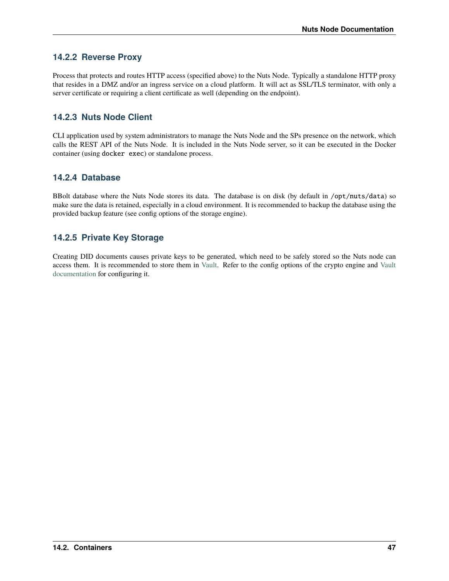### **14.2.2 Reverse Proxy**

Process that protects and routes HTTP access (specified above) to the Nuts Node. Typically a standalone HTTP proxy that resides in a DMZ and/or an ingress service on a cloud platform. It will act as SSL/TLS terminator, with only a server certificate or requiring a client certificate as well (depending on the endpoint).

### **14.2.3 Nuts Node Client**

CLI application used by system administrators to manage the Nuts Node and the SPs presence on the network, which calls the REST API of the Nuts Node. It is included in the Nuts Node server, so it can be executed in the Docker container (using docker exec) or standalone process.

#### **14.2.4 Database**

BBolt database where the Nuts Node stores its data. The database is on disk (by default in /opt/nuts/data) so make sure the data is retained, especially in a cloud environment. It is recommended to backup the database using the provided backup feature (see config options of the storage engine).

### **14.2.5 Private Key Storage**

Creating DID documents causes private keys to be generated, which need to be safely stored so the Nuts node can access them. It is recommended to store them in [Vault.](https://www.vaultproject.io/) Refer to the config options of the crypto engine and [Vault](https://www.vaultproject.io/docs) [documentation](https://www.vaultproject.io/docs) for configuring it.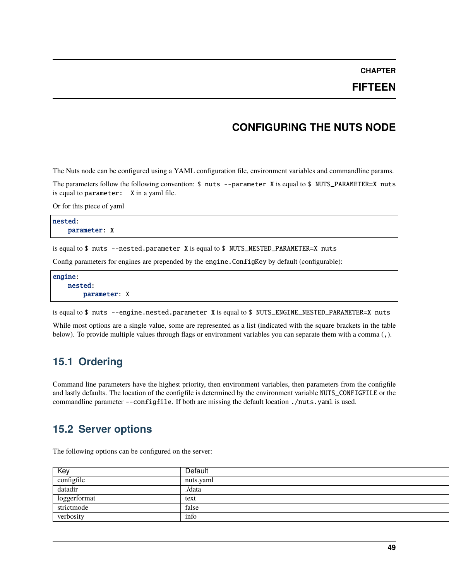#### **FIFTEEN**

### **CONFIGURING THE NUTS NODE**

<span id="page-52-0"></span>The Nuts node can be configured using a YAML configuration file, environment variables and commandline params.

The parameters follow the following convention:  $\$$  nuts --parameter X is equal to  $\$$  NUTS\_PARAMETER=X nuts is equal to parameter: X in a yaml file.

Or for this piece of yaml

nested: parameter: X

is equal to \$ nuts --nested.parameter X is equal to \$ NUTS\_NESTED\_PARAMETER=X nuts

Config parameters for engines are prepended by the engine.ConfigKey by default (configurable):

```
engine:
   nested:
        parameter: X
```
is equal to \$ nuts --engine.nested.parameter X is equal to \$ NUTS\_ENGINE\_NESTED\_PARAMETER=X nuts

While most options are a single value, some are represented as a list (indicated with the square brackets in the table below). To provide multiple values through flags or environment variables you can separate them with a comma (,).

## **15.1 Ordering**

Command line parameters have the highest priority, then environment variables, then parameters from the configfile and lastly defaults. The location of the configfile is determined by the environment variable NUTS\_CONFIGFILE or the commandline parameter --configfile. If both are missing the default location ./nuts.yaml is used.

### **15.2 Server options**

The following options can be configured on the server:

| Ke)          | <b>Default</b> |
|--------------|----------------|
| configfile   | nuts.yaml      |
| datadir      |                |
| loggerformat |                |
| strictmode   |                |
| verbosity    |                |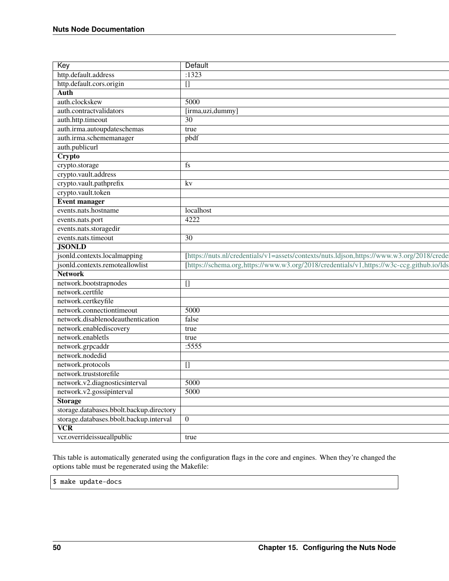| Key                                                                  | Default                                                                                   |
|----------------------------------------------------------------------|-------------------------------------------------------------------------------------------|
| http.default.address                                                 | $\overline{.1323}$                                                                        |
| http.default.cors.origin                                             |                                                                                           |
|                                                                      |                                                                                           |
| auth.clockskew                                                       | 5000                                                                                      |
| auth.contractvalidators                                              | [irma,uzi,dummy]                                                                          |
| auth.http.timeout                                                    | 30                                                                                        |
| auth.irma.autoupdateschemas                                          | $ $ true                                                                                  |
| auth.irma.schememanager                                              | pbdf                                                                                      |
|                                                                      |                                                                                           |
| auth.publicurl<br>Crypto                                             |                                                                                           |
| crypto.storage                                                       |                                                                                           |
| crypto.vault.address                                                 |                                                                                           |
| crypto.vault.pathprefix                                              | kv                                                                                        |
| crypto.vault.token                                                   |                                                                                           |
| Event manager                                                        |                                                                                           |
| events.nats.hostname                                                 | localhost                                                                                 |
| events.nats.port                                                     | 4222                                                                                      |
| events.nats.storagedir                                               |                                                                                           |
| events.nats.timeout                                                  | 30.                                                                                       |
| <b>JSONLD</b>                                                        |                                                                                           |
| jsonld.contexts.localmapping                                         | [https://nuts.nl/credentials/v1=assets/contexts/nuts.ldjson,https://www.w3.org/2018/crede |
| jsonld.contexts.remoteallowlist                                      | [https://schema.org.https://www.w3.org/2018/credentials/v1.https://w3c-ccg.github.io/lds  |
| <b>Network</b>                                                       |                                                                                           |
|                                                                      |                                                                                           |
|                                                                      |                                                                                           |
| network.bootstrapnodes                                               |                                                                                           |
| network.certfile                                                     |                                                                                           |
| network.certkeyfile<br>network.connectiontimeout                     | 5000                                                                                      |
|                                                                      |                                                                                           |
| network.disablenodeauthentication<br>network.enablediscovery         | false<br>$\vert$ true                                                                     |
|                                                                      |                                                                                           |
| network.enabletls                                                    | $\sqrt{\frac{1}{1 + 1}}$<br>:5555                                                         |
| network.grpcaddr                                                     |                                                                                           |
| network.nodedid                                                      |                                                                                           |
| network.protocols<br>network.truststorefile                          |                                                                                           |
|                                                                      |                                                                                           |
| network.v2.diagnosticsinterval                                       | 5000<br>5000                                                                              |
| network.v2.gossipinterval                                            |                                                                                           |
| <b>Storage</b>                                                       |                                                                                           |
| storage.databases.bbolt.backup.directory                             |                                                                                           |
| storage.databases.bbolt.backup.interval 0<br>$\overline{\text{VCR}}$ |                                                                                           |

This table is automatically generated using the configuration flags in the core and engines. When they're changed the options table must be regenerated using the Makefile:

\$ make update-docs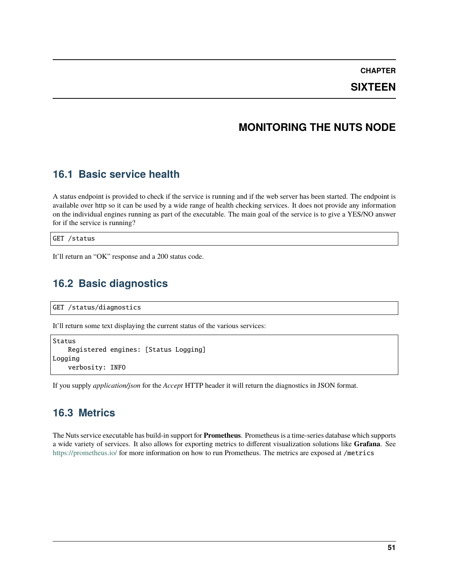### **SIXTEEN**

## **MONITORING THE NUTS NODE**

## **16.1 Basic service health**

A status endpoint is provided to check if the service is running and if the web server has been started. The endpoint is available over http so it can be used by a wide range of health checking services. It does not provide any information on the individual engines running as part of the executable. The main goal of the service is to give a YES/NO answer for if the service is running?

GET /status

It'll return an "OK" response and a 200 status code.

## **16.2 Basic diagnostics**

GET /status/diagnostics

It'll return some text displaying the current status of the various services:

```
Status
    Registered engines: [Status Logging]
Logging
    verbosity: INFO
```
If you supply *application/json* for the *Accept* HTTP header it will return the diagnostics in JSON format.

### **16.3 Metrics**

The Nuts service executable has build-in support for **Prometheus**. Prometheus is a time-series database which supports a wide variety of services. It also allows for exporting metrics to different visualization solutions like **Grafana**. See <https://prometheus.io/> for more information on how to run Prometheus. The metrics are exposed at /metrics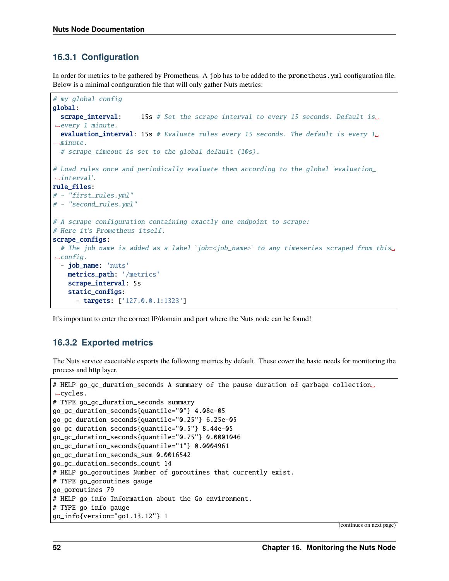### **16.3.1 Configuration**

In order for metrics to be gathered by Prometheus. A job has to be added to the prometheus.yml configuration file. Below is a minimal configuration file that will only gather Nuts metrics:

```
# my global config
global:
 scrape_interval: 15s # Set the scrape interval to every 15 seconds. Default is<sub>o</sub>˓→every 1 minute.
 evaluation_interval: 15s # Evaluate rules every 15 seconds. The default is every 1_{\text{u}}\rightarrowminute.
  # scrape_timeout is set to the global default (10s).
# Load rules once and periodically evaluate them according to the global 'evaluation_
˓→interval'.
rule_files:
# - "first_rules.yml"
# - "second_rules.yml"
# A scrape configuration containing exactly one endpoint to scrape:
# Here it's Prometheus itself.
scrape_configs:
  # The job name is added as a label `job=<job_name>` to any timeseries scraped from this␣
\rightarrowconfig.
  - job_name: 'nuts'
    metrics_path: '/metrics'
    scrape_interval: 5s
    static_configs:
      - targets: ['127.0.0.1:1323']
```
It's important to enter the correct IP/domain and port where the Nuts node can be found!

#### **16.3.2 Exported metrics**

The Nuts service executable exports the following metrics by default. These cover the basic needs for monitoring the process and http layer.

```
# HELP go_gc_duration_seconds A summary of the pause duration of garbage collection␣
\rightarrowcycles.
# TYPE go_gc_duration_seconds summary
go_gc_duration_seconds{quantile="0"} 4.08e-05
go_gc_duration_seconds{quantile="0.25"} 6.25e-05
go_gc_duration_seconds{quantile="0.5"} 8.44e-05
go_gc_duration_seconds{quantile="0.75"} 0.0001046
go_gc_duration_seconds{quantile="1"} 0.0004961
go_gc_duration_seconds_sum 0.0016542
go_gc_duration_seconds_count 14
# HELP go_goroutines Number of goroutines that currently exist.
# TYPE go_goroutines gauge
go_goroutines 79
# HELP go_info Information about the Go environment.
# TYPE go_info gauge
go_info{version="go1.13.12"} 1
```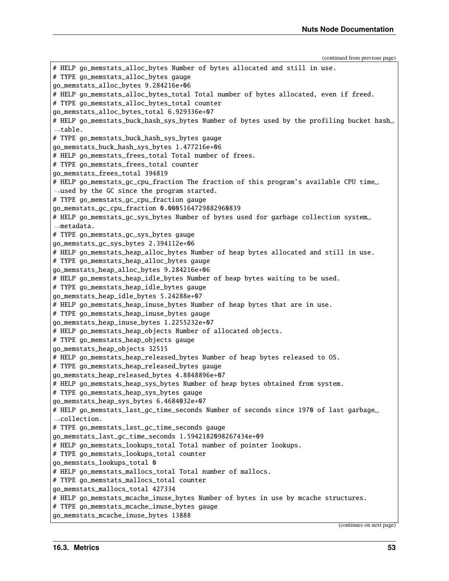# HELP go\_memstats\_alloc\_bytes Number of bytes allocated and still in use. # TYPE go\_memstats\_alloc\_bytes gauge go\_memstats\_alloc\_bytes 9.284216e+06 # HELP go\_memstats\_alloc\_bytes\_total Total number of bytes allocated, even if freed. # TYPE go\_memstats\_alloc\_bytes\_total counter go\_memstats\_alloc\_bytes\_total 6.929336e+07 # HELP go\_memstats\_buck\_hash\_sys\_bytes Number of bytes used by the profiling bucket hash␣  $\rightarrow$ table. # TYPE go\_memstats\_buck\_hash\_sys\_bytes gauge go\_memstats\_buck\_hash\_sys\_bytes 1.477216e+06 # HELP go\_memstats\_frees\_total Total number of frees. # TYPE go\_memstats\_frees\_total counter go\_memstats\_frees\_total 394819 # HELP go\_memstats\_gc\_cpu\_fraction The fraction of this program's available CPU time␣  $\rightarrow$ used by the GC since the program started. # TYPE go\_memstats\_gc\_cpu\_fraction gauge go\_memstats\_gc\_cpu\_fraction 0.0005164729882960839 # HELP go\_memstats\_gc\_sys\_bytes Number of bytes used for garbage collection system␣ ˓<sup>→</sup>metadata. # TYPE go\_memstats\_gc\_sys\_bytes gauge go\_memstats\_gc\_sys\_bytes 2.394112e+06 # HELP go\_memstats\_heap\_alloc\_bytes Number of heap bytes allocated and still in use. # TYPE go\_memstats\_heap\_alloc\_bytes gauge go\_memstats\_heap\_alloc\_bytes 9.284216e+06 # HELP go\_memstats\_heap\_idle\_bytes Number of heap bytes waiting to be used. # TYPE go\_memstats\_heap\_idle\_bytes gauge go\_memstats\_heap\_idle\_bytes 5.24288e+07 # HELP go\_memstats\_heap\_inuse\_bytes Number of heap bytes that are in use. # TYPE go\_memstats\_heap\_inuse\_bytes gauge go\_memstats\_heap\_inuse\_bytes 1.2255232e+07 # HELP go\_memstats\_heap\_objects Number of allocated objects. # TYPE go\_memstats\_heap\_objects gauge go\_memstats\_heap\_objects 32515 # HELP go\_memstats\_heap\_released\_bytes Number of heap bytes released to OS. # TYPE go\_memstats\_heap\_released\_bytes gauge go\_memstats\_heap\_released\_bytes 4.8848896e+07 # HELP go\_memstats\_heap\_sys\_bytes Number of heap bytes obtained from system. # TYPE go\_memstats\_heap\_sys\_bytes gauge go\_memstats\_heap\_sys\_bytes 6.4684032e+07 # HELP go\_memstats\_last\_gc\_time\_seconds Number of seconds since 1970 of last garbage␣ ˓<sup>→</sup>collection. # TYPE go\_memstats\_last\_gc\_time\_seconds gauge go\_memstats\_last\_gc\_time\_seconds 1.5942182098267434e+09 # HELP go\_memstats\_lookups\_total Total number of pointer lookups. # TYPE go\_memstats\_lookups\_total counter go\_memstats\_lookups\_total 0 # HELP go\_memstats\_mallocs\_total Total number of mallocs. # TYPE go\_memstats\_mallocs\_total counter go\_memstats\_mallocs\_total 427334 # HELP go\_memstats\_mcache\_inuse\_bytes Number of bytes in use by mcache structures. # TYPE go\_memstats\_mcache\_inuse\_bytes gauge go\_memstats\_mcache\_inuse\_bytes 13888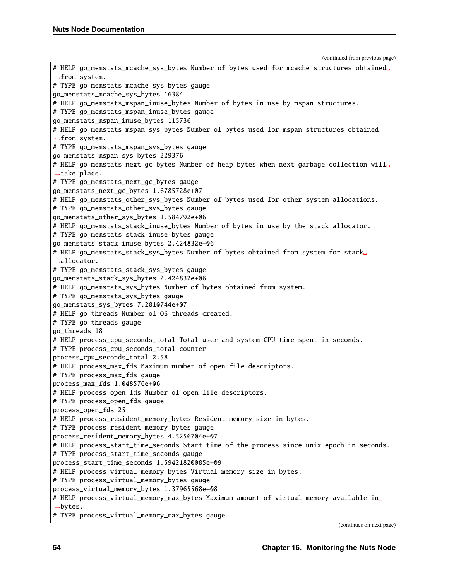```
# HELP go_memstats_mcache_sys_bytes Number of bytes used for mcache structures obtained␣
˓→from system.
# TYPE go_memstats_mcache_sys_bytes gauge
go_memstats_mcache_sys_bytes 16384
# HELP go_memstats_mspan_inuse_bytes Number of bytes in use by mspan structures.
# TYPE go_memstats_mspan_inuse_bytes gauge
go_memstats_mspan_inuse_bytes 115736
# HELP go_memstats_mspan_sys_bytes Number of bytes used for mspan structures obtained␣
˓→from system.
# TYPE go_memstats_mspan_sys_bytes gauge
go_memstats_mspan_sys_bytes 229376
# HELP go_memstats_next_gc_bytes Number of heap bytes when next garbage collection will␣
˓→take place.
# TYPE go_memstats_next_gc_bytes gauge
go_memstats_next_gc_bytes 1.6785728e+07
# HELP go_memstats_other_sys_bytes Number of bytes used for other system allocations.
# TYPE go_memstats_other_sys_bytes gauge
go_memstats_other_sys_bytes 1.584792e+06
# HELP go_memstats_stack_inuse_bytes Number of bytes in use by the stack allocator.
# TYPE go_memstats_stack_inuse_bytes gauge
go_memstats_stack_inuse_bytes 2.424832e+06
# HELP go_memstats_stack_sys_bytes Number of bytes obtained from system for stack␣
˓→allocator.
# TYPE go_memstats_stack_sys_bytes gauge
go_memstats_stack_sys_bytes 2.424832e+06
# HELP go_memstats_sys_bytes Number of bytes obtained from system.
# TYPE go_memstats_sys_bytes gauge
go_memstats_sys_bytes 7.2810744e+07
# HELP go_threads Number of OS threads created.
# TYPE go_threads gauge
go_threads 18
# HELP process_cpu_seconds_total Total user and system CPU time spent in seconds.
# TYPE process_cpu_seconds_total counter
process_cpu_seconds_total 2.58
# HELP process_max_fds Maximum number of open file descriptors.
# TYPE process_max_fds gauge
process_max_fds 1.048576e+06
# HELP process_open_fds Number of open file descriptors.
# TYPE process_open_fds gauge
process_open_fds 25
# HELP process_resident_memory_bytes Resident memory size in bytes.
# TYPE process_resident_memory_bytes gauge
process_resident_memory_bytes 4.5256704e+07
# HELP process_start_time_seconds Start time of the process since unix epoch in seconds.
# TYPE process_start_time_seconds gauge
process_start_time_seconds 1.59421820085e+09
# HELP process_virtual_memory_bytes Virtual memory size in bytes.
# TYPE process_virtual_memory_bytes gauge
process_virtual_memory_bytes 1.37965568e+08
# HELP process_virtual_memory_max_bytes Maximum amount of virtual memory available in␣
˓→bytes.
# TYPE process_virtual_memory_max_bytes gauge
```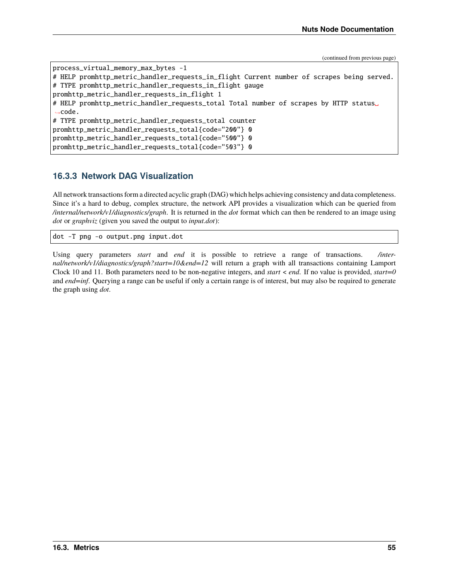```
process_virtual_memory_max_bytes -1
# HELP promhttp_metric_handler_requests_in_flight Current number of scrapes being served.
# TYPE promhttp_metric_handler_requests_in_flight gauge
promhttp_metric_handler_requests_in_flight 1
# HELP promhttp_metric_handler_requests_total Total number of scrapes by HTTP status␣
\rightarrowcode.
# TYPE promhttp_metric_handler_requests_total counter
promhttp_metric_handler_requests_total{code="200"} 0
promhttp_metric_handler_requests_total{code="500"} 0
promhttp_metric_handler_requests_total{code="503"} 0
```
#### **16.3.3 Network DAG Visualization**

All network transactions form a directed acyclic graph (DAG) which helps achieving consistency and data completeness. Since it's a hard to debug, complex structure, the network API provides a visualization which can be queried from */internal/network/v1/diagnostics/graph*. It is returned in the *dot* format which can then be rendered to an image using *dot* or *graphviz* (given you saved the output to *input.dot*):

dot -T png -o output.png input.dot

Using query parameters *start* and *end* it is possible to retrieve a range of transactions. */internal/network/v1/diagnostics/graph?start=10&end=12* will return a graph with all transactions containing Lamport Clock 10 and 11. Both parameters need to be non-negative integers, and *start* < *end*. If no value is provided, *start=0* and *end=inf*. Querying a range can be useful if only a certain range is of interest, but may also be required to generate the graph using *dot*.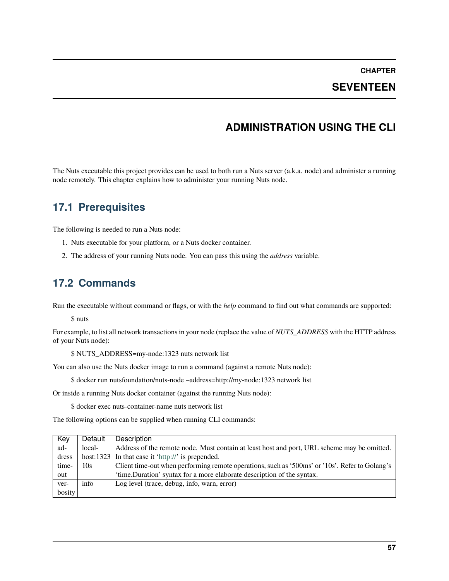### **SEVENTEEN**

# **ADMINISTRATION USING THE CLI**

The Nuts executable this project provides can be used to both run a Nuts server (a.k.a. node) and administer a running node remotely. This chapter explains how to administer your running Nuts node.

## **17.1 Prerequisites**

The following is needed to run a Nuts node:

- 1. Nuts executable for your platform, or a Nuts docker container.
- 2. The address of your running Nuts node. You can pass this using the *address* variable.

## **17.2 Commands**

Run the executable without command or flags, or with the *help* command to find out what commands are supported:

\$ nuts

For example, to list all network transactions in your node (replace the value of *NUTS\_ADDRESS* with the HTTP address of your Nuts node):

\$ NUTS\_ADDRESS=my-node:1323 nuts network list

You can also use the Nuts docker image to run a command (against a remote Nuts node):

\$ docker run nutsfoundation/nuts-node –address=http://my-node:1323 network list

Or inside a running Nuts docker container (against the running Nuts node):

\$ docker exec nuts-container-name nuts network list

The following options can be supplied when running CLI commands:

| Key    | Default | Description                                                                                    |
|--------|---------|------------------------------------------------------------------------------------------------|
| ad-    | local-  | Address of the remote node. Must contain at least host and port, URL scheme may be omitted.    |
| dress  |         | host:1323 In that case it 'http://' is prepended.                                              |
| time-  | 10s     | Client time-out when performing remote operations, such as '500ms' or '10s'. Refer to Golang's |
| out    |         | 'time.Duration' syntax for a more elaborate description of the syntax.                         |
| ver-   | info    | Log level (trace, debug, info, warn, error)                                                    |
| bosity |         |                                                                                                |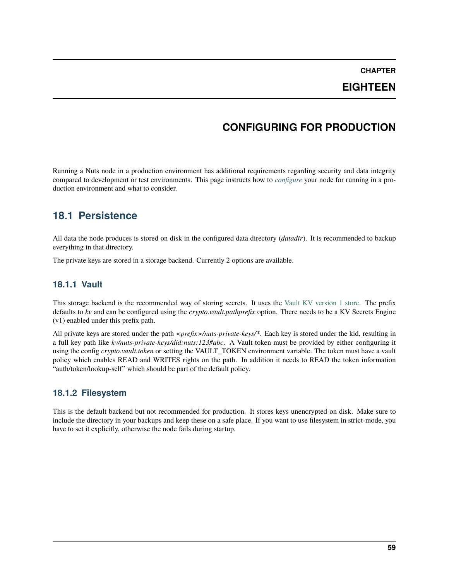## **EIGHTEEN**

# **CONFIGURING FOR PRODUCTION**

<span id="page-62-0"></span>Running a Nuts node in a production environment has additional requirements regarding security and data integrity compared to development or test environments. This page instructs how to *[configure](#page-52-0)* your node for running in a production environment and what to consider.

## **18.1 Persistence**

All data the node produces is stored on disk in the configured data directory (*datadir*). It is recommended to backup everything in that directory.

The private keys are stored in a storage backend. Currently 2 options are available.

#### **18.1.1 Vault**

This storage backend is the recommended way of storing secrets. It uses the [Vault KV version 1 store.](https://www.vaultproject.io/docs/secrets/kv/kv-v1) The prefix defaults to *kv* and can be configured using the *crypto.vault.pathprefix* option. There needs to be a KV Secrets Engine (v1) enabled under this prefix path.

All private keys are stored under the path *<prefix>/nuts-private-keys/\**. Each key is stored under the kid, resulting in a full key path like *kv/nuts-private-keys/did:nuts:123#abc*. A Vault token must be provided by either configuring it using the config *crypto.vault.token* or setting the VAULT\_TOKEN environment variable. The token must have a vault policy which enables READ and WRITES rights on the path. In addition it needs to READ the token information "auth/token/lookup-self" which should be part of the default policy.

#### **18.1.2 Filesystem**

This is the default backend but not recommended for production. It stores keys unencrypted on disk. Make sure to include the directory in your backups and keep these on a safe place. If you want to use filesystem in strict-mode, you have to set it explicitly, otherwise the node fails during startup.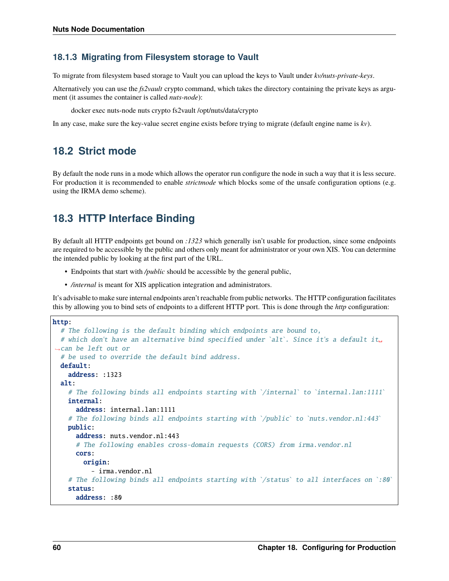#### **18.1.3 Migrating from Filesystem storage to Vault**

To migrate from filesystem based storage to Vault you can upload the keys to Vault under *kv/nuts-private-keys*.

Alternatively you can use the *fs2vault* crypto command, which takes the directory containing the private keys as argument (it assumes the container is called *nuts-node*):

docker exec nuts-node nuts crypto fs2vault /opt/nuts/data/crypto

In any case, make sure the key-value secret engine exists before trying to migrate (default engine name is *kv*).

### **18.2 Strict mode**

By default the node runs in a mode which allows the operator run configure the node in such a way that it is less secure. For production it is recommended to enable *strictmode* which blocks some of the unsafe configuration options (e.g. using the IRMA demo scheme).

## **18.3 HTTP Interface Binding**

By default all HTTP endpoints get bound on *:1323* which generally isn't usable for production, since some endpoints are required to be accessible by the public and others only meant for administrator or your own XIS. You can determine the intended public by looking at the first part of the URL.

- Endpoints that start with */public* should be accessible by the general public,
- */internal* is meant for XIS application integration and administrators.

It's advisable to make sure internal endpoints aren't reachable from public networks. The HTTP configuration facilitates this by allowing you to bind sets of endpoints to a different HTTP port. This is done through the *http* configuration:

```
http:
  # The following is the default binding which endpoints are bound to,
  # which don't have an alternative bind specified under `alt`. Since it's a default it␣
˓→can be left out or
  # be used to override the default bind address.
  default:
    address: :1323
  alt:
    # The following binds all endpoints starting with `/internal` to `internal.lan:1111`
    internal:
      address: internal.lan:1111
    # The following binds all endpoints starting with `/public` to `nuts.vendor.nl:443`
    public:
      address: nuts.vendor.nl:443
      # The following enables cross-domain requests (CORS) from irma.vendor.nl
      cors:
        origin:
          - irma.vendor.nl
    # The following binds all endpoints starting with \sqrt{s} status to all interfaces on \cdot:80
    status:
      address: :80
```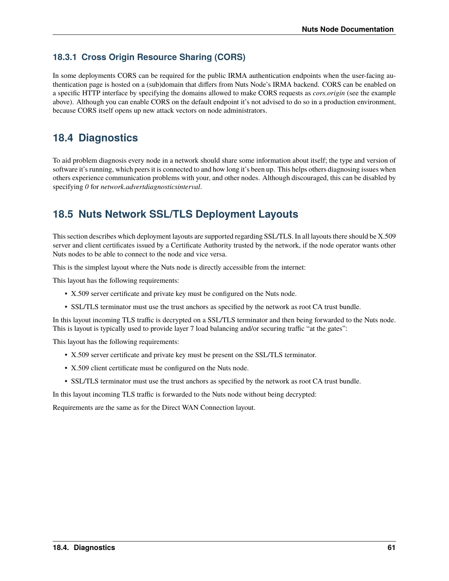### **18.3.1 Cross Origin Resource Sharing (CORS)**

In some deployments CORS can be required for the public IRMA authentication endpoints when the user-facing authentication page is hosted on a (sub)domain that differs from Nuts Node's IRMA backend. CORS can be enabled on a specific HTTP interface by specifying the domains allowed to make CORS requests as *cors.origin* (see the example above). Although you can enable CORS on the default endpoint it's not advised to do so in a production environment, because CORS itself opens up new attack vectors on node administrators.

# **18.4 Diagnostics**

To aid problem diagnosis every node in a network should share some information about itself; the type and version of software it's running, which peers it is connected to and how long it's been up. This helps others diagnosing issues when others experience communication problems with your, and other nodes. Although discouraged, this can be disabled by specifying *0* for *network.advertdiagnosticsinterval*.

# **18.5 Nuts Network SSL/TLS Deployment Layouts**

This section describes which deployment layouts are supported regarding SSL/TLS. In all layouts there should be X.509 server and client certificates issued by a Certificate Authority trusted by the network, if the node operator wants other Nuts nodes to be able to connect to the node and vice versa.

This is the simplest layout where the Nuts node is directly accessible from the internet:

This layout has the following requirements:

- X.509 server certificate and private key must be configured on the Nuts node.
- SSL/TLS terminator must use the trust anchors as specified by the network as root CA trust bundle.

In this layout incoming TLS traffic is decrypted on a SSL/TLS terminator and then being forwarded to the Nuts node. This is layout is typically used to provide layer 7 load balancing and/or securing traffic "at the gates":

This layout has the following requirements:

- X.509 server certificate and private key must be present on the SSL/TLS terminator.
- X.509 client certificate must be configured on the Nuts node.
- SSL/TLS terminator must use the trust anchors as specified by the network as root CA trust bundle.

In this layout incoming TLS traffic is forwarded to the Nuts node without being decrypted:

Requirements are the same as for the Direct WAN Connection layout.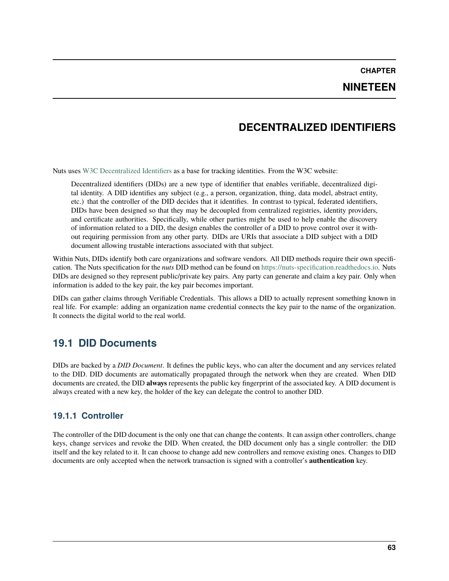#### **NINETEEN**

## **DECENTRALIZED IDENTIFIERS**

Nuts uses [W3C Decentralized Identifiers](https://www.w3.org/TR/did-core/) as a base for tracking identities. From the W3C website:

Decentralized identifiers (DIDs) are a new type of identifier that enables verifiable, decentralized digital identity. A DID identifies any subject (e.g., a person, organization, thing, data model, abstract entity, etc.) that the controller of the DID decides that it identifies. In contrast to typical, federated identifiers, DIDs have been designed so that they may be decoupled from centralized registries, identity providers, and certificate authorities. Specifically, while other parties might be used to help enable the discovery of information related to a DID, the design enables the controller of a DID to prove control over it without requiring permission from any other party. DIDs are URIs that associate a DID subject with a DID document allowing trustable interactions associated with that subject.

Within Nuts, DIDs identify both care organizations and software vendors. All DID methods require their own specification. The Nuts specification for the *nuts* DID method can be found on [https://nuts-specification.readthedocs.io.](https://nuts-specification.readthedocs.io) Nuts DIDs are designed so they represent public/private key pairs. Any party can generate and claim a key pair. Only when information is added to the key pair, the key pair becomes important.

DIDs can gather claims through Verifiable Credentials. This allows a DID to actually represent something known in real life. For example: adding an organization name credential connects the key pair to the name of the organization. It connects the digital world to the real world.

## **19.1 DID Documents**

DIDs are backed by a *DID Document*. It defines the public keys, who can alter the document and any services related to the DID. DID documents are automatically propagated through the network when they are created. When DID documents are created, the DID **always** represents the public key fingerprint of the associated key. A DID document is always created with a new key, the holder of the key can delegate the control to another DID.

#### **19.1.1 Controller**

The controller of the DID document is the only one that can change the contents. It can assign other controllers, change keys, change services and revoke the DID. When created, the DID document only has a single controller: the DID itself and the key related to it. It can choose to change add new controllers and remove existing ones. Changes to DID documents are only accepted when the network transaction is signed with a controller's **authentication** key.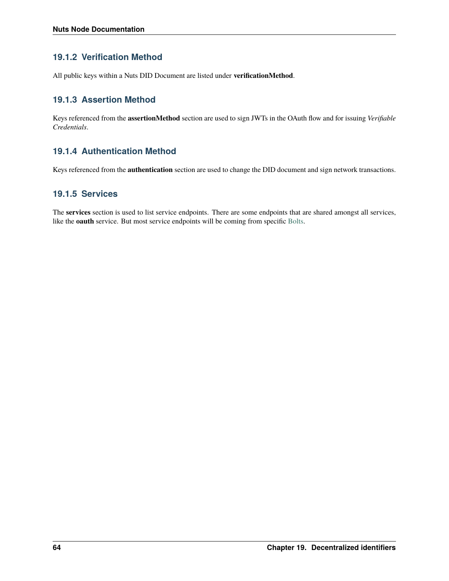### **19.1.2 Verification Method**

All public keys within a Nuts DID Document are listed under **verificationMethod**.

### **19.1.3 Assertion Method**

Keys referenced from the **assertionMethod** section are used to sign JWTs in the OAuth flow and for issuing *Verifiable Credentials*.

### **19.1.4 Authentication Method**

Keys referenced from the **authentication** section are used to change the DID document and sign network transactions.

#### **19.1.5 Services**

The **services** section is used to list service endpoints. There are some endpoints that are shared amongst all services, like the **oauth** service. But most service endpoints will be coming from specific [Bolts.](https://nuts-foundation.gitbook.io/bolts/)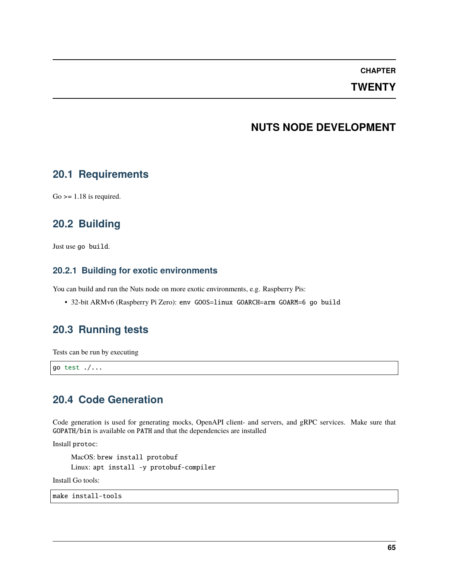### **TWENTY**

## **NUTS NODE DEVELOPMENT**

### **20.1 Requirements**

 $Go \geq 1.18$  is required.

## **20.2 Building**

Just use go build.

#### **20.2.1 Building for exotic environments**

You can build and run the Nuts node on more exotic environments, e.g. Raspberry Pis:

• 32-bit ARMv6 (Raspberry Pi Zero): env GOOS=linux GOARCH=arm GOARM=6 go build

## **20.3 Running tests**

Tests can be run by executing

go test ./...

## **20.4 Code Generation**

Code generation is used for generating mocks, OpenAPI client- and servers, and gRPC services. Make sure that GOPATH/bin is available on PATH and that the dependencies are installed

Install protoc:

MacOS: brew install protobuf Linux: apt install -y protobuf-compiler

Install Go tools:

make install-tools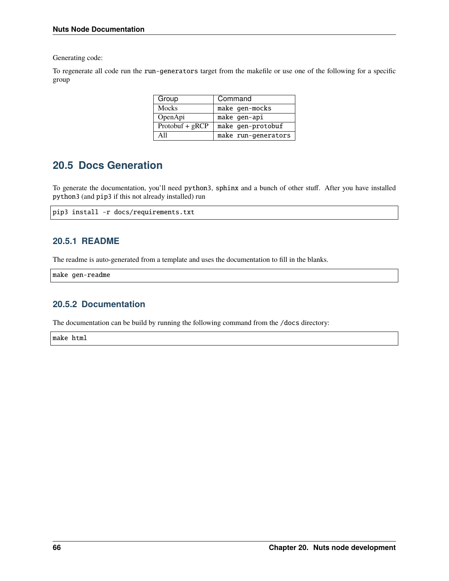Generating code:

To regenerate all code run the run-generators target from the makefile or use one of the following for a specific group

| Group             | Command             |
|-------------------|---------------------|
| Mocks             | make gen-mocks      |
| OpenApi           | make gen-api        |
| $Protobuf + gRCP$ | make gen-protobuf   |
| A 11              | make run-generators |

## **20.5 Docs Generation**

To generate the documentation, you'll need python3, sphinx and a bunch of other stuff. After you have installed python3 (and pip3 if this not already installed) run

```
pip3 install -r docs/requirements.txt
```
#### **20.5.1 README**

The readme is auto-generated from a template and uses the documentation to fill in the blanks.

make gen-readme

#### **20.5.2 Documentation**

The documentation can be build by running the following command from the /docs directory:

make html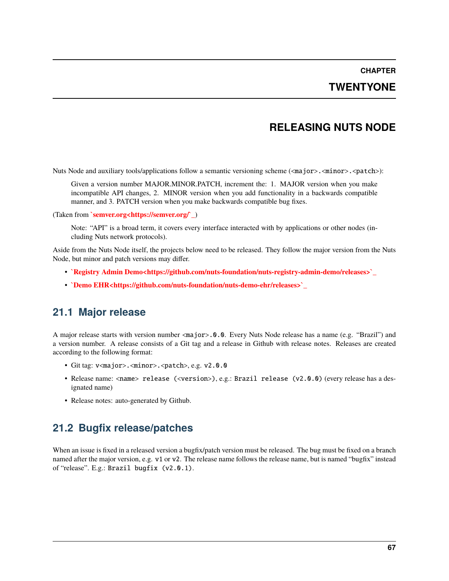### **TWENTYONE**

## **RELEASING NUTS NODE**

Nuts Node and auxiliary tools/applications follow a semantic versioning scheme (<major>.<minor>.<patch>):

Given a version number MAJOR.MINOR.PATCH, increment the: 1. MAJOR version when you make incompatible API changes, 2. MINOR version when you add functionality in a backwards compatible manner, and 3. PATCH version when you make backwards compatible bug fixes.

(Taken from **`semver.org<https://semver.org/`\_**)

Note: "API" is a broad term, it covers every interface interacted with by applications or other nodes (including Nuts network protocols).

Aside from the Nuts Node itself, the projects below need to be released. They follow the major version from the Nuts Node, but minor and patch versions may differ.

- **`Registry Admin Demo<https://github.com/nuts-foundation/nuts-registry-admin-demo/releases>`\_**
- **`Demo EHR<https://github.com/nuts-foundation/nuts-demo-ehr/releases>`\_**

## **21.1 Major release**

A major release starts with version number <major>.0.0. Every Nuts Node release has a name (e.g. "Brazil") and a version number. A release consists of a Git tag and a release in Github with release notes. Releases are created according to the following format:

- Git tag: v<major>.<minor>.<patch>, e.g. v2.0.0
- Release name: <name> release (<version>), e.g.: Brazil release (v2.0.0) (every release has a designated name)
- Release notes: auto-generated by Github.

## **21.2 Bugfix release/patches**

When an issue is fixed in a released version a bugfix/patch version must be released. The bug must be fixed on a branch named after the major version, e.g. v1 or v2. The release name follows the release name, but is named "bugfix" instead of "release". E.g.: Brazil bugfix (v2.0.1).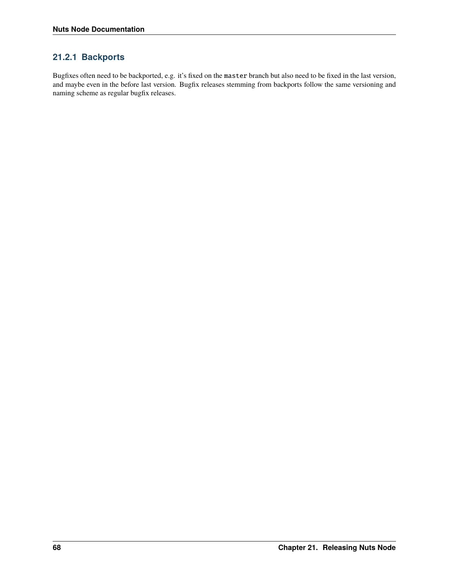### **21.2.1 Backports**

Bugfixes often need to be backported, e.g. it's fixed on the master branch but also need to be fixed in the last version, and maybe even in the before last version. Bugfix releases stemming from backports follow the same versioning and naming scheme as regular bugfix releases.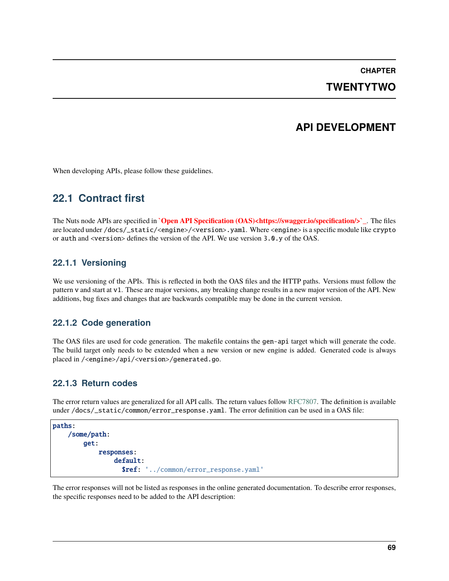# **CHAPTER TWENTYTWO**

#### **API DEVELOPMENT**

When developing APIs, please follow these guidelines.

# **22.1 Contract first**

The Nuts node APIs are specified in **`Open API Specification (OAS)<https://swagger.io/specification/>`\_**. The files are located under /docs/\_static/<engine>/<version>.yaml. Where <engine> is a specific module like crypto or auth and <version> defines the version of the API. We use version 3.0.y of the OAS.

#### **22.1.1 Versioning**

We use versioning of the APIs. This is reflected in both the OAS files and the HTTP paths. Versions must follow the pattern v and start at v1. These are major versions, any breaking change results in a new major version of the API. New additions, bug fixes and changes that are backwards compatible may be done in the current version.

#### **22.1.2 Code generation**

The OAS files are used for code generation. The makefile contains the gen-api target which will generate the code. The build target only needs to be extended when a new version or new engine is added. Generated code is always placed in /<engine>/api/<version>/generated.go.

#### **22.1.3 Return codes**

The error return values are generalized for all API calls. The return values follow [RFC7807.](https://tools.ietf.org/html/rfc7807) The definition is available under /docs/\_static/common/error\_response.yaml. The error definition can be used in a OAS file:

```
paths:
/some/path:
    get:
        responses:
             default:
               $ref: '../common/error_response.yaml'
```
The error responses will not be listed as responses in the online generated documentation. To describe error responses, the specific responses need to be added to the API description: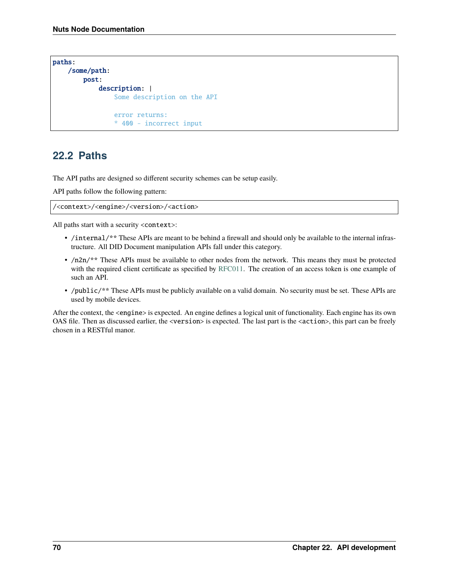```
paths:
/some/path:
    post:
        description: |
            Some description on the API
            error returns:
            * 400 - incorrect input
```
#### **22.2 Paths**

The API paths are designed so different security schemes can be setup easily.

API paths follow the following pattern:

/<context>/<engine>/<version>/<action>

All paths start with a security <context>:

- /internal/\*\* These APIs are meant to be behind a firewall and should only be available to the internal infrastructure. All DID Document manipulation APIs fall under this category.
- /n2n/\*\* These APIs must be available to other nodes from the network. This means they must be protected with the required client certificate as specified by [RFC011.](https://nuts-foundation.gitbook.io/drafts/rfc/rfc011-verifiable-credential) The creation of an access token is one example of such an API.
- /public/\*\* These APIs must be publicly available on a valid domain. No security must be set. These APIs are used by mobile devices.

After the context, the <engine> is expected. An engine defines a logical unit of functionality. Each engine has its own OAS file. Then as discussed earlier, the <version> is expected. The last part is the <action>, this part can be freely chosen in a RESTful manor.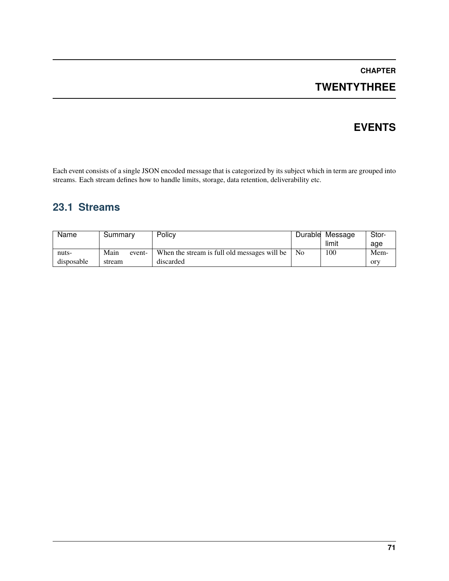# **TWENTYTHREE**

# **EVENTS**

Each event consists of a single JSON encoded message that is categorized by its subject which in term are grouped into streams. Each stream defines how to handle limits, storage, data retention, deliverability etc.

# **23.1 Streams**

| Name       | Summary        | Policy                                       |                | Durable Message | Stor- |
|------------|----------------|----------------------------------------------|----------------|-----------------|-------|
|            |                |                                              |                | limit           | age   |
| nuts-      | Main<br>event- | When the stream is full old messages will be | N <sub>0</sub> | 100             | Mem-  |
| disposable | stream         | discarded                                    |                |                 | ory   |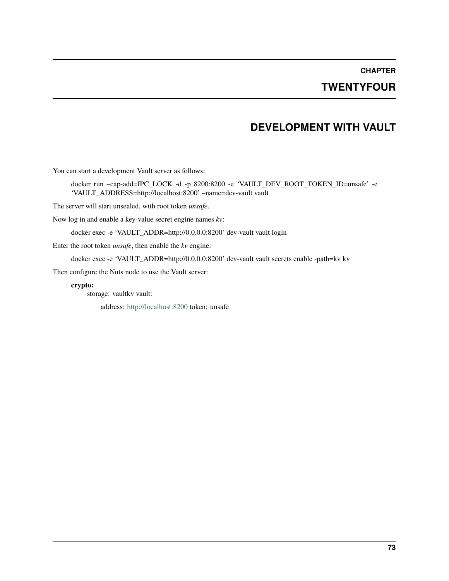## **TWENTYFOUR**

### **DEVELOPMENT WITH VAULT**

You can start a development Vault server as follows:

docker run –cap-add=IPC\_LOCK -d -p 8200:8200 -e 'VAULT\_DEV\_ROOT\_TOKEN\_ID=unsafe' -e 'VAULT\_ADDRESS=http://localhost:8200' –name=dev-vault vault

The server will start unsealed, with root token *unsafe*.

Now log in and enable a key-value secret engine names *kv*:

docker exec -e 'VAULT\_ADDR=http://0.0.0.0:8200' dev-vault vault login

Enter the root token *unsafe*, then enable the *kv* engine:

docker exec -e 'VAULT\_ADDR=http://0.0.0.0:8200' dev-vault vault secrets enable -path=kv kv

Then configure the Nuts node to use the Vault server:

**crypto:**

storage: vaultkv vault:

address: <http://localhost:8200> token: unsafe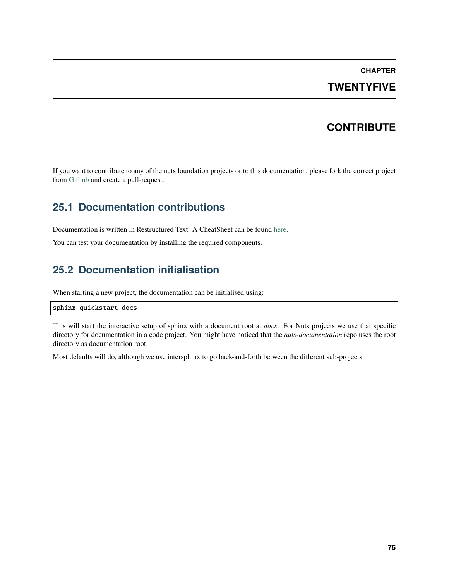## **TWENTYFIVE**

## **CONTRIBUTE**

If you want to contribute to any of the nuts foundation projects or to this documentation, please fork the correct project from [Github](https://github.com/nuts-foundation) and create a pull-request.

## **25.1 Documentation contributions**

Documentation is written in Restructured Text. A CheatSheet can be found [here.](https://thomas-cokelaer.info/tutorials/sphinx/rest_syntax.html)

You can test your documentation by installing the required components.

# **25.2 Documentation initialisation**

When starting a new project, the documentation can be initialised using:

sphinx-quickstart docs

This will start the interactive setup of sphinx with a document root at *docs*. For Nuts projects we use that specific directory for documentation in a code project. You might have noticed that the *nuts-documentation* repo uses the root directory as documentation root.

Most defaults will do, although we use intersphinx to go back-and-forth between the different sub-projects.